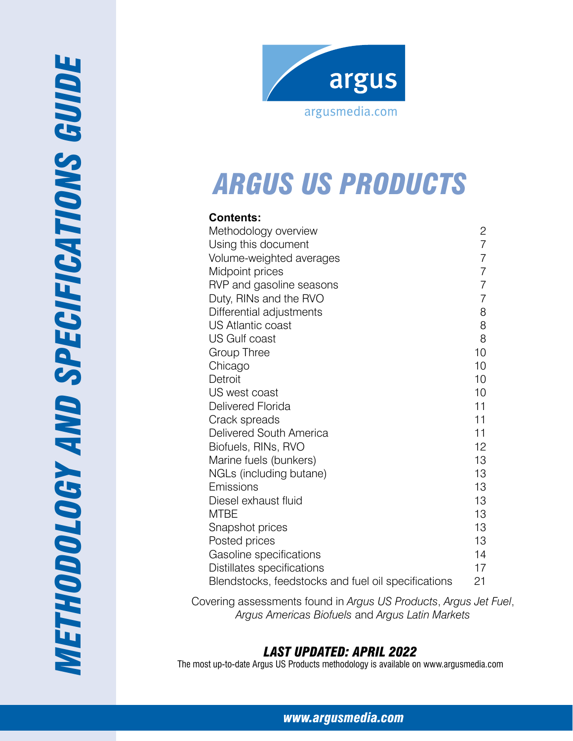



# *Arg us US prod ucts*

| <b>Contents:</b>                                    |                |
|-----------------------------------------------------|----------------|
| Methodology overview                                | 2              |
| Using this document                                 | $\overline{7}$ |
| Volume-weighted averages                            | $\overline{7}$ |
| Midpoint prices                                     | $\overline{7}$ |
| RVP and gasoline seasons                            | $\overline{7}$ |
| Duty, RINs and the RVO                              | $\overline{7}$ |
| Differential adjustments                            | 8              |
| <b>US Atlantic coast</b>                            | 8              |
| US Gulf coast                                       | 8              |
| Group Three                                         | 10             |
| Chicago                                             | 10             |
| Detroit                                             | 10             |
| US west coast                                       | 10             |
| Delivered Florida                                   | 11             |
| Crack spreads                                       | 11             |
| Delivered South America                             | 11             |
| Biofuels, RINs, RVO                                 | 12             |
| Marine fuels (bunkers)                              | 13             |
| NGLs (including butane)                             | 13             |
| Emissions                                           | 13             |
| Diesel exhaust fluid                                | 13             |
| MTBE                                                | 13             |
| Snapshot prices                                     | 13             |
| Posted prices                                       | 13             |
| Gasoline specifications                             | 14             |
| Distillates specifications                          | 17             |
| Blendstocks, feedstocks and fuel oil specifications | 21             |

Covering assessments found in *Argus US Products*, *Argus Jet Fuel* , *Argus Americas Biofuels* and *Argus Latin Markets*

# *Last Updated: April 2022*

The most up-to-date Argus US Products methodology is available on www.argusmedia.com

*[www.argusmedia.com](http://www.argusmediagroup.com)*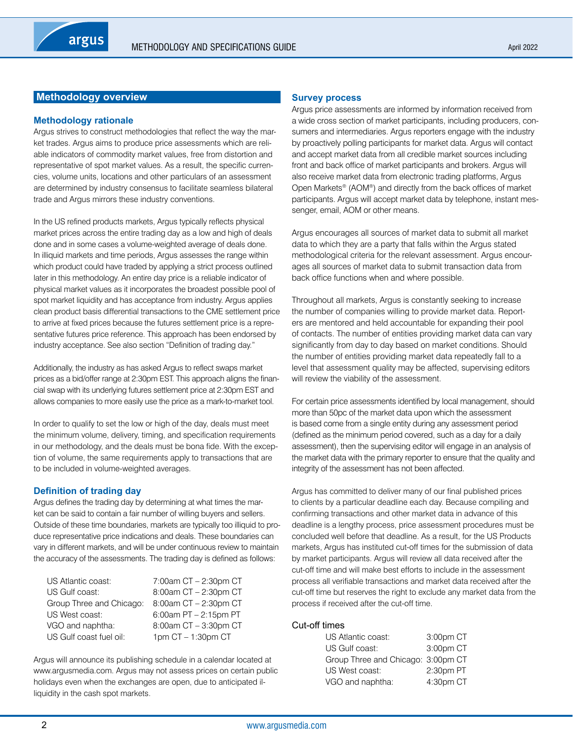# <span id="page-1-0"></span>**Methodology overview**

#### **Methodology rationale**

Argus strives to construct methodologies that reflect the way the market trades. Argus aims to produce price assessments which are reliable indicators of commodity market values, free from distortion and representative of spot market values. As a result, the specific currencies, volume units, locations and other particulars of an assessment are determined by industry consensus to facilitate seamless bilateral trade and Argus mirrors these industry conventions.

In the US refined products markets, Argus typically reflects physical market prices across the entire trading day as a low and high of deals done and in some cases a volume-weighted average of deals done. In illiquid markets and time periods, Argus assesses the range within which product could have traded by applying a strict process outlined later in this methodology. An entire day price is a reliable indicator of physical market values as it incorporates the broadest possible pool of spot market liquidity and has acceptance from industry. Argus applies clean product basis differential transactions to the CME settlement price to arrive at fixed prices because the futures settlement price is a representative futures price reference. This approach has been endorsed by industry acceptance. See also section "Definition of trading day."

Additionally, the industry as has asked Argus to reflect swaps market prices as a bid/offer range at 2:30pm EST. This approach aligns the financial swap with its underlying futures settlement price at 2:30pm EST and allows companies to more easily use the price as a mark-to-market tool.

In order to qualify to set the low or high of the day, deals must meet the minimum volume, delivery, timing, and specification requirements in our methodology, and the deals must be bona fide. With the exception of volume, the same requirements apply to transactions that are to be included in volume-weighted averages.

# **Definition of trading day**

Argus defines the trading day by determining at what times the market can be said to contain a fair number of willing buyers and sellers. Outside of these time boundaries, markets are typically too illiquid to produce representative price indications and deals. These boundaries can vary in different markets, and will be under continuous review to maintain the accuracy of the assessments. The trading day is defined as follows:

| US Atlantic coast:       | 7:00am CT - 2:30pm CT   |
|--------------------------|-------------------------|
| US Gulf coast:           | 8:00am CT - 2:30pm CT   |
| Group Three and Chicago: | 8:00am CT - 2:30pm CT   |
| US West coast:           | 6:00am $PT - 2:15pm PT$ |
| VGO and naphtha:         | 8:00am CT - 3:30pm CT   |
| US Gulf coast fuel oil:  | 1pm $CT - 1:30$ pm $CT$ |

Argus will announce its publishing schedule in a calendar located at www.argusmedia.com. Argus may not assess prices on certain public holidays even when the exchanges are open, due to anticipated illiquidity in the cash spot markets.

#### **Survey process**

Argus price assessments are informed by information received from a wide cross section of market participants, including producers, consumers and intermediaries. Argus reporters engage with the industry by proactively polling participants for market data. Argus will contact and accept market data from all credible market sources including front and back office of market participants and brokers. Argus will also receive market data from electronic trading platforms, Argus Open Markets® (AOM®) and directly from the back offices of market participants. Argus will accept market data by telephone, instant messenger, email, AOM or other means.

Argus encourages all sources of market data to submit all market data to which they are a party that falls within the Argus stated methodological criteria for the relevant assessment. Argus encourages all sources of market data to submit transaction data from back office functions when and where possible.

Throughout all markets, Argus is constantly seeking to increase the number of companies willing to provide market data. Reporters are mentored and held accountable for expanding their pool of contacts. The number of entities providing market data can vary significantly from day to day based on market conditions. Should the number of entities providing market data repeatedly fall to a level that assessment quality may be affected, supervising editors will review the viability of the assessment.

For certain price assessments identified by local management, should more than 50pc of the market data upon which the assessment is based come from a single entity during any assessment period (defined as the minimum period covered, such as a day for a daily assessment), then the supervising editor will engage in an analysis of the market data with the primary reporter to ensure that the quality and integrity of the assessment has not been affected.

Argus has committed to deliver many of our final published prices to clients by a particular deadline each day. Because compiling and confirming transactions and other market data in advance of this deadline is a lengthy process, price assessment procedures must be concluded well before that deadline. As a result, for the US Products markets, Argus has instituted cut-off times for the submission of data by market participants. Argus will review all data received after the cut-off time and will make best efforts to include in the assessment process all verifiable transactions and market data received after the cut-off time but reserves the right to exclude any market data from the process if received after the cut-off time.

#### Cut-off times

| US Atlantic coast:                 | 3:00pm CT |
|------------------------------------|-----------|
| US Gulf coast:                     | 3:00pm CT |
| Group Three and Chicago: 3:00pm CT |           |
| US West coast:                     | 2:30pm PT |
| VGO and naphtha:                   | 4:30pm CT |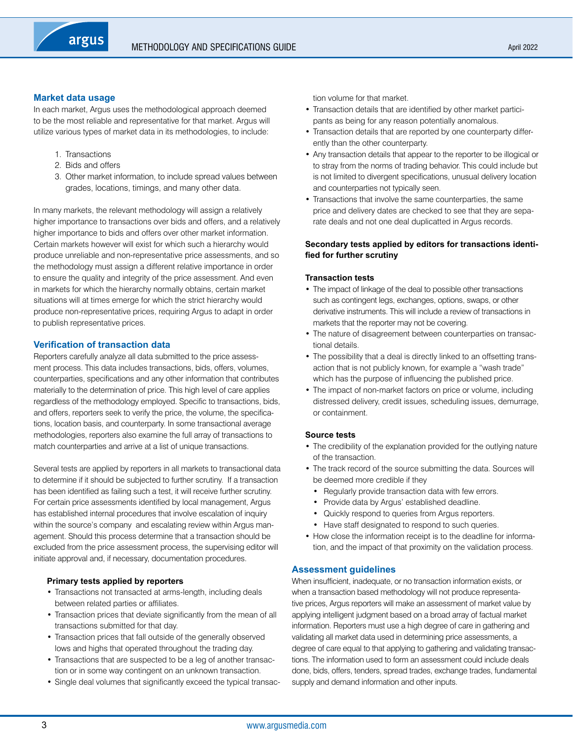# **Market data usage**

In each market, Argus uses the methodological approach deemed to be the most reliable and representative for that market. Argus will utilize various types of market data in its methodologies, to include:

- 1. Transactions
- 2. Bids and offers
- 3. Other market information, to include spread values between grades, locations, timings, and many other data.

In many markets, the relevant methodology will assign a relatively higher importance to transactions over bids and offers, and a relatively higher importance to bids and offers over other market information. Certain markets however will exist for which such a hierarchy would produce unreliable and non-representative price assessments, and so the methodology must assign a different relative importance in order to ensure the quality and integrity of the price assessment. And even in markets for which the hierarchy normally obtains, certain market situations will at times emerge for which the strict hierarchy would produce non-representative prices, requiring Argus to adapt in order to publish representative prices.

# **Verification of transaction data**

Reporters carefully analyze all data submitted to the price assessment process. This data includes transactions, bids, offers, volumes, counterparties, specifications and any other information that contributes materially to the determination of price. This high level of care applies regardless of the methodology employed. Specific to transactions, bids, and offers, reporters seek to verify the price, the volume, the specifications, location basis, and counterparty. In some transactional average methodologies, reporters also examine the full array of transactions to match counterparties and arrive at a list of unique transactions.

Several tests are applied by reporters in all markets to transactional data to determine if it should be subjected to further scrutiny. If a transaction has been identified as failing such a test, it will receive further scrutiny. For certain price assessments identified by local management, Argus has established internal procedures that involve escalation of inquiry within the source's company and escalating review within Argus management. Should this process determine that a transaction should be excluded from the price assessment process, the supervising editor will initiate approval and, if necessary, documentation procedures.

# **Primary tests applied by reporters**

- Transactions not transacted at arms-length, including deals between related parties or affiliates.
- Transaction prices that deviate significantly from the mean of all transactions submitted for that day.
- Transaction prices that fall outside of the generally observed lows and highs that operated throughout the trading day.
- Transactions that are suspected to be a leg of another transaction or in some way contingent on an unknown transaction.
- Single deal volumes that significantly exceed the typical transac-

tion volume for that market.

- Transaction details that are identified by other market participants as being for any reason potentially anomalous.
- Transaction details that are reported by one counterparty differently than the other counterparty.
- Any transaction details that appear to the reporter to be illogical or to stray from the norms of trading behavior. This could include but is not limited to divergent specifications, unusual delivery location and counterparties not typically seen.
- Transactions that involve the same counterparties, the same price and delivery dates are checked to see that they are separate deals and not one deal duplicatted in Argus records.

# **Secondary tests applied by editors for transactions identified for further scrutiny**

# **Transaction tests**

- The impact of linkage of the deal to possible other transactions such as contingent legs, exchanges, options, swaps, or other derivative instruments. This will include a review of transactions in markets that the reporter may not be covering.
- The nature of disagreement between counterparties on transactional details.
- The possibility that a deal is directly linked to an offsetting transaction that is not publicly known, for example a "wash trade" which has the purpose of influencing the published price.
- The impact of non-market factors on price or volume, including distressed delivery, credit issues, scheduling issues, demurrage, or containment.

# **Source tests**

- The credibility of the explanation provided for the outlying nature of the transaction.
- The track record of the source submitting the data. Sources will be deemed more credible if they
	- Regularly provide transaction data with few errors.
	- Provide data by Argus' established deadline.
	- Quickly respond to queries from Argus reporters.
	- Have staff designated to respond to such queries.
- How close the information receipt is to the deadline for information, and the impact of that proximity on the validation process.

# **Assessment guidelines**

When insufficient, inadequate, or no transaction information exists, or when a transaction based methodology will not produce representative prices, Argus reporters will make an assessment of market value by applying intelligent judgment based on a broad array of factual market information. Reporters must use a high degree of care in gathering and validating all market data used in determining price assessments, a degree of care equal to that applying to gathering and validating transactions. The information used to form an assessment could include deals done, bids, offers, tenders, spread trades, exchange trades, fundamental supply and demand information and other inputs.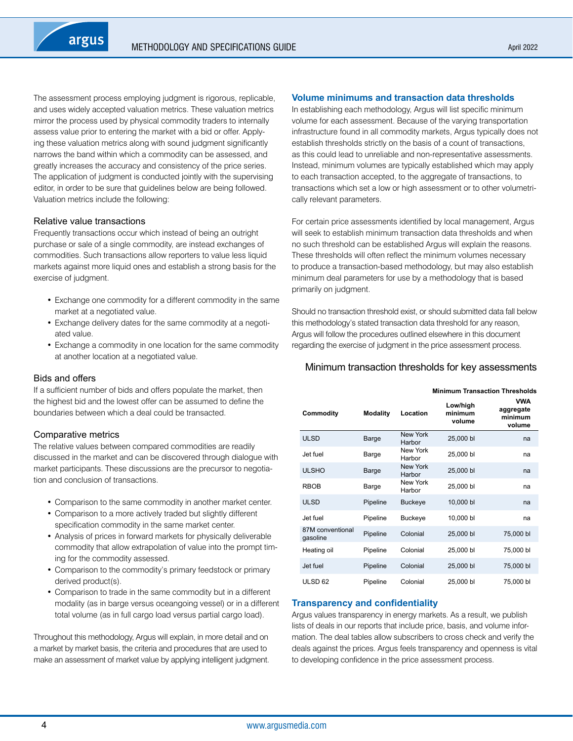The assessment process employing judgment is rigorous, replicable, and uses widely accepted valuation metrics. These valuation metrics mirror the process used by physical commodity traders to internally assess value prior to entering the market with a bid or offer. Applying these valuation metrics along with sound judgment significantly narrows the band within which a commodity can be assessed, and greatly increases the accuracy and consistency of the price series. The application of judgment is conducted jointly with the supervising editor, in order to be sure that guidelines below are being followed. Valuation metrics include the following:

# Relative value transactions

Frequently transactions occur which instead of being an outright purchase or sale of a single commodity, are instead exchanges of commodities. Such transactions allow reporters to value less liquid markets against more liquid ones and establish a strong basis for the exercise of judgment.

- Exchange one commodity for a different commodity in the same market at a negotiated value.
- Exchange delivery dates for the same commodity at a negotiated value.
- Exchange a commodity in one location for the same commodity at another location at a negotiated value.

# Bids and offers

If a sufficient number of bids and offers populate the market, then the highest bid and the lowest offer can be assumed to define the boundaries between which a deal could be transacted.

# Comparative metrics

The relative values between compared commodities are readily discussed in the market and can be discovered through dialogue with market participants. These discussions are the precursor to negotiation and conclusion of transactions.

- Comparison to the same commodity in another market center.
- Comparison to a more actively traded but slightly different specification commodity in the same market center.
- Analysis of prices in forward markets for physically deliverable commodity that allow extrapolation of value into the prompt timing for the commodity assessed.
- Comparison to the commodity's primary feedstock or primary derived product(s).
- Comparison to trade in the same commodity but in a different modality (as in barge versus oceangoing vessel) or in a different total volume (as in full cargo load versus partial cargo load).

Throughout this methodology, Argus will explain, in more detail and on a market by market basis, the criteria and procedures that are used to make an assessment of market value by applying intelligent judgment.

# **Volume minimums and transaction data thresholds**

In establishing each methodology, Argus will list specific minimum volume for each assessment. Because of the varying transportation infrastructure found in all commodity markets, Argus typically does not establish thresholds strictly on the basis of a count of transactions, as this could lead to unreliable and non-representative assessments. Instead, minimum volumes are typically established which may apply to each transaction accepted, to the aggregate of transactions, to transactions which set a low or high assessment or to other volumetrically relevant parameters.

For certain price assessments identified by local management, Argus will seek to establish minimum transaction data thresholds and when no such threshold can be established Argus will explain the reasons. These thresholds will often reflect the minimum volumes necessary to produce a transaction-based methodology, but may also establish minimum deal parameters for use by a methodology that is based primarily on judgment.

Should no transaction threshold exist, or should submitted data fall below this methodology's stated transaction data threshold for any reason, Argus will follow the procedures outlined elsewhere in this document regarding the exercise of judgment in the price assessment process.

# Minimum transaction thresholds for key assessments

#### **Minimum Transaction Thresholds**

| Commodity                    | <b>Modality</b> | Location                  | Low/high<br>minimum<br>volume | <b>VWA</b><br>aggregate<br>minimum<br>volume |
|------------------------------|-----------------|---------------------------|-------------------------------|----------------------------------------------|
| <b>ULSD</b>                  | Barge           | New York<br>Harbor        | 25,000 bl                     | na                                           |
| Jet fuel                     | Barge           | New York<br>Harbor        | 25,000 bl                     | na                                           |
| <b>ULSHO</b>                 | Barge           | <b>New York</b><br>Harbor | 25,000 bl                     | na                                           |
| <b>RBOB</b>                  | Barge           | New York<br>Harbor        | 25,000 bl                     | na                                           |
| <b>ULSD</b>                  | Pipeline        | <b>Buckeye</b>            | 10,000 bl                     | na                                           |
| Jet fuel                     | Pipeline        | <b>Buckeye</b>            | 10,000 bl                     | na                                           |
| 87M conventional<br>gasoline | Pipeline        | Colonial                  | 25,000 bl                     | 75,000 bl                                    |
| Heating oil                  | Pipeline        | Colonial                  | 25,000 bl                     | 75,000 bl                                    |
| Jet fuel                     | Pipeline        | Colonial                  | 25,000 bl                     | 75,000 bl                                    |
| ULSD <sub>62</sub>           | Pipeline        | Colonial                  | 25,000 bl                     | 75,000 bl                                    |

# **Transparency and confidentiality**

Argus values transparency in energy markets. As a result, we publish lists of deals in our reports that include price, basis, and volume information. The deal tables allow subscribers to cross check and verify the deals against the prices. Argus feels transparency and openness is vital to developing confidence in the price assessment process.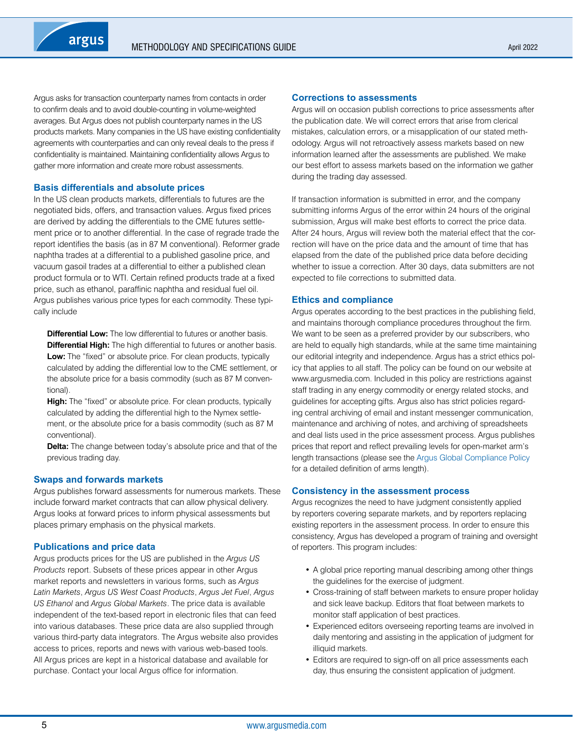Argus asks for transaction counterparty names from contacts in order to confirm deals and to avoid double-counting in volume-weighted averages. But Argus does not publish counterparty names in the US products markets. Many companies in the US have existing confidentiality agreements with counterparties and can only reveal deals to the press if confidentiality is maintained. Maintaining confidentiality allows Argus to gather more information and create more robust assessments.

# **Basis differentials and absolute prices**

In the US clean products markets, differentials to futures are the negotiated bids, offers, and transaction values. Argus fixed prices are derived by adding the differentials to the CME futures settlement price or to another differential. In the case of regrade trade the report identifies the basis (as in 87 M conventional). Reformer grade naphtha trades at a differential to a published gasoline price, and vacuum gasoil trades at a differential to either a published clean product formula or to WTI. Certain refined products trade at a fixed price, such as ethanol, paraffinic naphtha and residual fuel oil. Argus publishes various price types for each commodity. These typically include

**Differential Low:** The low differential to futures or another basis. **Differential High:** The high differential to futures or another basis. **Low:** The "fixed" or absolute price. For clean products, typically calculated by adding the differential low to the CME settlement, or the absolute price for a basis commodity (such as 87 M conventional).

**High:** The "fixed" or absolute price. For clean products, typically calculated by adding the differential high to the Nymex settlement, or the absolute price for a basis commodity (such as 87 M conventional).

**Delta:** The change between today's absolute price and that of the previous trading day.

# **Swaps and forwards markets**

Argus publishes forward assessments for numerous markets. These include forward market contracts that can allow physical delivery. Argus looks at forward prices to inform physical assessments but places primary emphasis on the physical markets.

# **Publications and price data**

Argus products prices for the US are published in the *Argus US Products* report. Subsets of these prices appear in other Argus market reports and newsletters in various forms, such as *Argus Latin Markets*, *Argus US West Coast Products*, *Argus Jet Fuel*, *Argus US Ethanol* and *Argus Global Markets*. The price data is available independent of the text-based report in electronic files that can feed into various databases. These price data are also supplied through various third-party data integrators. The Argus website also provides access to prices, reports and news with various web-based tools. All Argus prices are kept in a historical database and available for purchase. Contact your local Argus office for information.

#### **Corrections to assessments**

Argus will on occasion publish corrections to price assessments after the publication date. We will correct errors that arise from clerical mistakes, calculation errors, or a misapplication of our stated methodology. Argus will not retroactively assess markets based on new information learned after the assessments are published. We make our best effort to assess markets based on the information we gather during the trading day assessed.

If transaction information is submitted in error, and the company submitting informs Argus of the error within 24 hours of the original submission, Argus will make best efforts to correct the price data. After 24 hours, Argus will review both the material effect that the correction will have on the price data and the amount of time that has elapsed from the date of the published price data before deciding whether to issue a correction. After 30 days, data submitters are not expected to file corrections to submitted data.

# **Ethics and compliance**

Argus operates according to the best practices in the publishing field, and maintains thorough compliance procedures throughout the firm. We want to be seen as a preferred provider by our subscribers, who are held to equally high standards, while at the same time maintaining our editorial integrity and independence. Argus has a strict ethics policy that applies to all staff. The policy can be found on our website at www.argusmedia.com. Included in this policy are restrictions against staff trading in any energy commodity or energy related stocks, and guidelines for accepting gifts. Argus also has strict policies regarding central archiving of email and instant messenger communication, maintenance and archiving of notes, and archiving of spreadsheets and deal lists used in the price assessment process. Argus publishes prices that report and reflect prevailing levels for open-market arm's length transactions (please see the [Argus Global Compliance Policy](https://www.argusmedia.com/-/media/Files/governance-and-compliance/global-compliance.ashx?la=en&hash=DB833EADC2BC60A7B262FC13D5E6A4B46CCDAB1E) for a detailed definition of arms length).

# **Consistency in the assessment process**

Argus recognizes the need to have judgment consistently applied by reporters covering separate markets, and by reporters replacing existing reporters in the assessment process. In order to ensure this consistency, Argus has developed a program of training and oversight of reporters. This program includes:

- A global price reporting manual describing among other things the guidelines for the exercise of judgment.
- Cross-training of staff between markets to ensure proper holiday and sick leave backup. Editors that float between markets to monitor staff application of best practices.
- Experienced editors overseeing reporting teams are involved in daily mentoring and assisting in the application of judgment for illiquid markets.
- Editors are required to sign-off on all price assessments each day, thus ensuring the consistent application of judgment.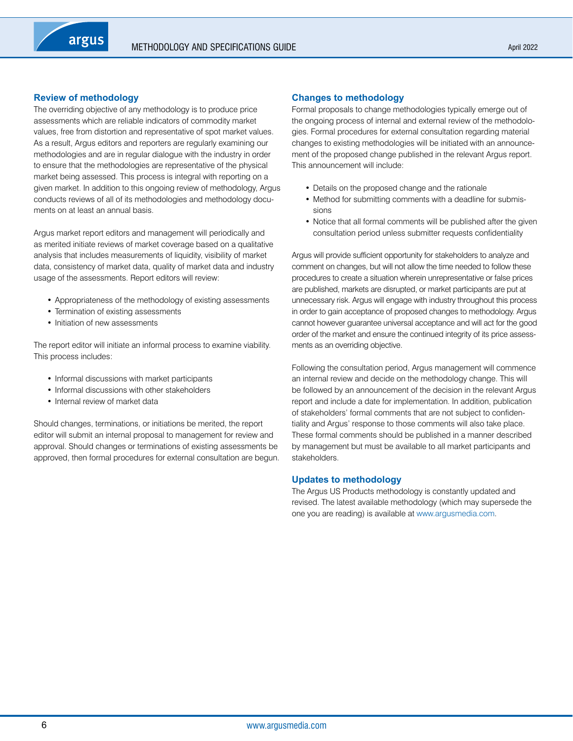# **Review of methodology**

The overriding objective of any methodology is to produce price assessments which are reliable indicators of commodity market values, free from distortion and representative of spot market values. As a result, Argus editors and reporters are regularly examining our methodologies and are in regular dialogue with the industry in order to ensure that the methodologies are representative of the physical market being assessed. This process is integral with reporting on a given market. In addition to this ongoing review of methodology, Argus conducts reviews of all of its methodologies and methodology documents on at least an annual basis.

Argus market report editors and management will periodically and as merited initiate reviews of market coverage based on a qualitative analysis that includes measurements of liquidity, visibility of market data, consistency of market data, quality of market data and industry usage of the assessments. Report editors will review:

- Appropriateness of the methodology of existing assessments
- Termination of existing assessments
- Initiation of new assessments

The report editor will initiate an informal process to examine viability. This process includes:

- Informal discussions with market participants
- Informal discussions with other stakeholders
- Internal review of market data

Should changes, terminations, or initiations be merited, the report editor will submit an internal proposal to management for review and approval. Should changes or terminations of existing assessments be approved, then formal procedures for external consultation are begun.

#### **Changes to methodology**

Formal proposals to change methodologies typically emerge out of the ongoing process of internal and external review of the methodologies. Formal procedures for external consultation regarding material changes to existing methodologies will be initiated with an announcement of the proposed change published in the relevant Argus report. This announcement will include:

- Details on the proposed change and the rationale
- Method for submitting comments with a deadline for submissions
- Notice that all formal comments will be published after the given consultation period unless submitter requests confidentiality

Argus will provide sufficient opportunity for stakeholders to analyze and comment on changes, but will not allow the time needed to follow these procedures to create a situation wherein unrepresentative or false prices are published, markets are disrupted, or market participants are put at unnecessary risk. Argus will engage with industry throughout this process in order to gain acceptance of proposed changes to methodology. Argus cannot however guarantee universal acceptance and will act for the good order of the market and ensure the continued integrity of its price assessments as an overriding objective.

Following the consultation period, Argus management will commence an internal review and decide on the methodology change. This will be followed by an announcement of the decision in the relevant Argus report and include a date for implementation. In addition, publication of stakeholders' formal comments that are not subject to confidentiality and Argus' response to those comments will also take place. These formal comments should be published in a manner described by management but must be available to all market participants and stakeholders.

# **Updates to methodology**

The Argus US Products methodology is constantly updated and revised. The latest available methodology (which may supersede the one you are reading) is available at [www.argusmedia.com.](https://www.argusmedia.com/en)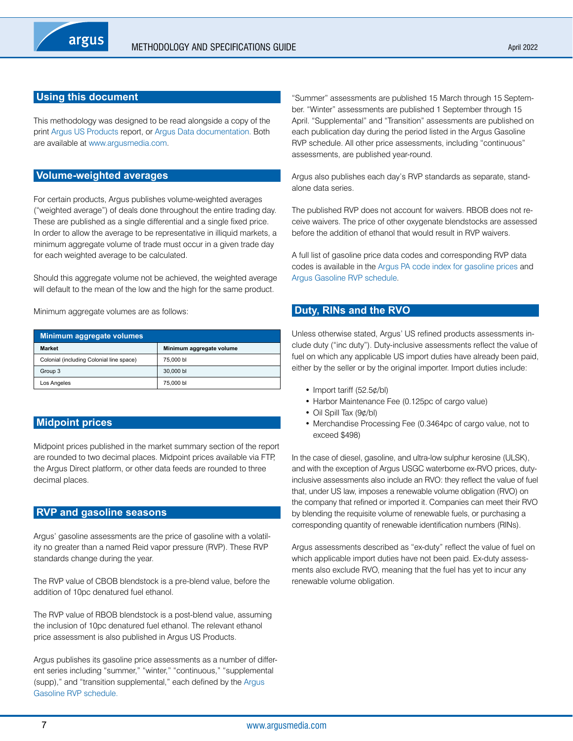# <span id="page-6-0"></span>**Using this document**

This methodology was designed to be read alongside a copy of the print [Argus US Products](http://www.argusmedia.com/Oil-Products/Argus-US-Products/) report, or [Argus Data documentation](http://www.argusmedia.com/pages/StaticPage.aspx?tname=Resources&pname=Data&staticurl=/Resources/data/documentation.shtml). Both are available at [www.argusmedia.com](https://www.argusmedia.com/en).

# **Volume-weighted averages**

For certain products, Argus publishes volume-weighted averages ("weighted average") of deals done throughout the entire trading day. These are published as a single differential and a single fixed price. In order to allow the average to be representative in illiquid markets, a minimum aggregate volume of trade must occur in a given trade day for each weighted average to be calculated.

Should this aggregate volume not be achieved, the weighted average will default to the mean of the low and the high for the same product.

Minimum aggregate volumes are as follows:

| Minimum aggregate volumes                |                          |  |  |  |  |  |  |
|------------------------------------------|--------------------------|--|--|--|--|--|--|
| <b>Market</b>                            | Minimum aggregate volume |  |  |  |  |  |  |
| Colonial (including Colonial line space) | 75,000 bl                |  |  |  |  |  |  |
| Group 3                                  | 30,000 bl                |  |  |  |  |  |  |
| Los Angeles                              | 75,000 bl                |  |  |  |  |  |  |

# **Midpoint prices**

Midpoint prices published in the market summary section of the report are rounded to two decimal places. Midpoint prices available via FTP, the Argus Direct platform, or other data feeds are rounded to three decimal places.

# **RVP and gasoline seasons**

Argus' gasoline assessments are the price of gasoline with a volatility no greater than a named Reid vapor pressure (RVP). These RVP standards change during the year.

The RVP value of CBOB blendstock is a pre-blend value, before the addition of 10pc denatured fuel ethanol.

The RVP value of RBOB blendstock is a post-blend value, assuming the inclusion of 10pc denatured fuel ethanol. The relevant ethanol price assessment is also published in Argus US Products.

Argus publishes its gasoline price assessments as a number of different series including "summer," "winter," "continuous," "supplemental (supp)," and "transition supplemental," each defined by the [Argus](https://www.argusmedia.com/-/media/Files/methodology/argus-rvp-transition.ashx)  [Gasoline RVP schedule.](https://www.argusmedia.com/-/media/Files/methodology/argus-rvp-transition.ashx)

"Summer" assessments are published 15 March through 15 September. "Winter" assessments are published 1 September through 15 April. "Supplemental" and "Transition" assessments are published on each publication day during the period listed in the Argus Gasoline RVP schedule. All other price assessments, including "continuous" assessments, are published year-round.

Argus also publishes each day's RVP standards as separate, standalone data series.

The published RVP does not account for waivers. RBOB does not receive waivers. The price of other oxygenate blendstocks are assessed before the addition of ethanol that would result in RVP waivers.

A full list of gasoline price data codes and corresponding RVP data codes is available in the [Argus PA code index for gasoline prices](https://www.argusmedia.com/-/media/Files/methodology/argus-pa-code-index-for-gasoline-prices-and-rvp-schedules.ashx) and [Argus Gasoline RVP schedule](https://www.argusmedia.com/-/media/Files/methodology/argus-rvp-transition.ashx).

# **Duty, RINs and the RVO**

Unless otherwise stated, Argus' US refined products assessments include duty ("inc duty"). Duty-inclusive assessments reflect the value of fuel on which any applicable US import duties have already been paid, either by the seller or by the original importer. Import duties include:

- Import tariff (52.5¢/bl)
- Harbor Maintenance Fee (0.125pc of cargo value)
- Oil Spill Tax (9¢/bl)
- Merchandise Processing Fee (0.3464pc of cargo value, not to exceed \$498)

In the case of diesel, gasoline, and ultra-low sulphur kerosine (ULSK), and with the exception of Argus USGC waterborne ex-RVO prices, dutyinclusive assessments also include an RVO: they reflect the value of fuel that, under US law, imposes a renewable volume obligation (RVO) on the company that refined or imported it. Companies can meet their RVO by blending the requisite volume of renewable fuels, or purchasing a corresponding quantity of renewable identification numbers (RINs).

Argus assessments described as "ex-duty" reflect the value of fuel on which applicable import duties have not been paid. Ex-duty assessments also exclude RVO, meaning that the fuel has yet to incur any renewable volume obligation.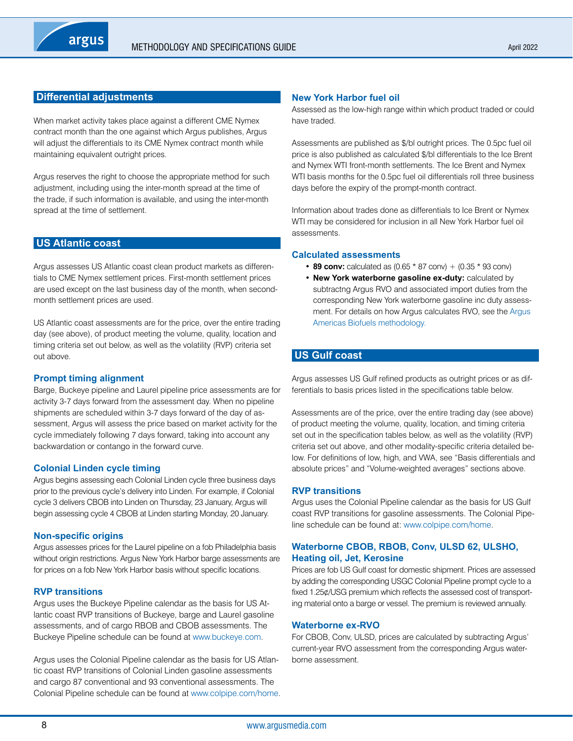# <span id="page-7-0"></span>**Differential adjustments**

When market activity takes place against a different CME Nymex contract month than the one against which Argus publishes, Argus will adjust the differentials to its CME Nymex contract month while maintaining equivalent outright prices.

Argus reserves the right to choose the appropriate method for such adjustment, including using the inter-month spread at the time of the trade, if such information is available, and using the inter-month spread at the time of settlement.

# **US Atlantic coast**

Argus assesses US Atlantic coast clean product markets as differentials to CME Nymex settlement prices. First-month settlement prices are used except on the last business day of the month, when secondmonth settlement prices are used.

US Atlantic coast assessments are for the price, over the entire trading day (see above), of product meeting the volume, quality, location and timing criteria set out below, as well as the volatility (RVP) criteria set out above.

# **Prompt timing alignment**

Barge, Buckeye pipeline and Laurel pipeline price assessments are for activity 3-7 days forward from the assessment day. When no pipeline shipments are scheduled within 3-7 days forward of the day of assessment, Argus will assess the price based on market activity for the cycle immediately following 7 days forward, taking into account any backwardation or contango in the forward curve.

# **Colonial Linden cycle timing**

Argus begins assessing each Colonial Linden cycle three business days prior to the previous cycle's delivery into Linden. For example, if Colonial cycle 3 delivers CBOB into Linden on Thursday, 23 January, Argus will begin assessing cycle 4 CBOB at Linden starting Monday, 20 January.

# **Non-specific origins**

Argus assesses prices for the Laurel pipeline on a fob Philadelphia basis without origin restrictions. Argus New York Harbor barge assessments are for prices on a fob New York Harbor basis without specific locations.

# **RVP transitions**

Argus uses the Buckeye Pipeline calendar as the basis for US Atlantic coast RVP transitions of Buckeye, barge and Laurel gasoline assessments, and of cargo RBOB and CBOB assessments. The Buckeye Pipeline schedule can be found at [www.buckeye.com.](www.buckeye.com)

Argus uses the Colonial Pipeline calendar as the basis for US Atlantic coast RVP transitions of Colonial Linden gasoline assessments and cargo 87 conventional and 93 conventional assessments. The Colonial Pipeline schedule can be found at [www.colpipe.com/home.](www.colpipe.com/home)

# **New York Harbor fuel oil**

Assessed as the low-high range within which product traded or could have traded.

Assessments are published as \$/bl outright prices. The 0.5pc fuel oil price is also published as calculated \$/bl differentials to the Ice Brent and Nymex WTI front-month settlements. The Ice Brent and Nymex WTI basis months for the 0.5pc fuel oil differentials roll three business days before the expiry of the prompt-month contract.

Information about trades done as differentials to Ice Brent or Nymex WTI may be considered for inclusion in all New York Harbor fuel oil assessments.

# **Calculated assessments**

- **89 conv:** calculated as  $(0.65 * 87 \text{ conv}) + (0.35 * 93 \text{ conv})$
- **New York waterborne gasoline ex-duty:** calculated by subtractng Argus RVO and associated import duties from the corresponding New York waterborne gasoline inc duty assessment. For details on how Argus calculates RVO, see the [Argus](https://www.argusmedia.com/-/media/Files/methodology/argus-americas-biofuels.ashx)  [Americas Biofuels methodology](https://www.argusmedia.com/-/media/Files/methodology/argus-americas-biofuels.ashx).

# **US Gulf coast**

Argus assesses US Gulf refined products as outright prices or as differentials to basis prices listed in the specifications table below.

Assessments are of the price, over the entire trading day (see above) of product meeting the volume, quality, location, and timing criteria set out in the specification tables below, as well as the volatility (RVP) criteria set out above, and other modality-specific criteria detailed below. For definitions of low, high, and VWA, see "Basis differentials and absolute prices" and "Volume-weighted averages" sections above.

# **RVP transitions**

Argus uses the Colonial Pipeline calendar as the basis for US Gulf coast RVP transitions for gasoline assessments. The Colonial Pipeline schedule can be found at: <www.colpipe.com/home>.

# **Waterborne CBOB, RBOB, Conv, ULSD 62, ULSHO, Heating oil, Jet, Kerosine**

Prices are fob US Gulf coast for domestic shipment. Prices are assessed by adding the corresponding USGC Colonial Pipeline prompt cycle to a fixed 1.25¢/USG premium which reflects the assessed cost of transporting material onto a barge or vessel. The premium is reviewed annually.

# **Waterborne ex-RVO**

For CBOB, Conv, ULSD, prices are calculated by subtracting Argus' current-year RVO assessment from the corresponding Argus waterborne assessment.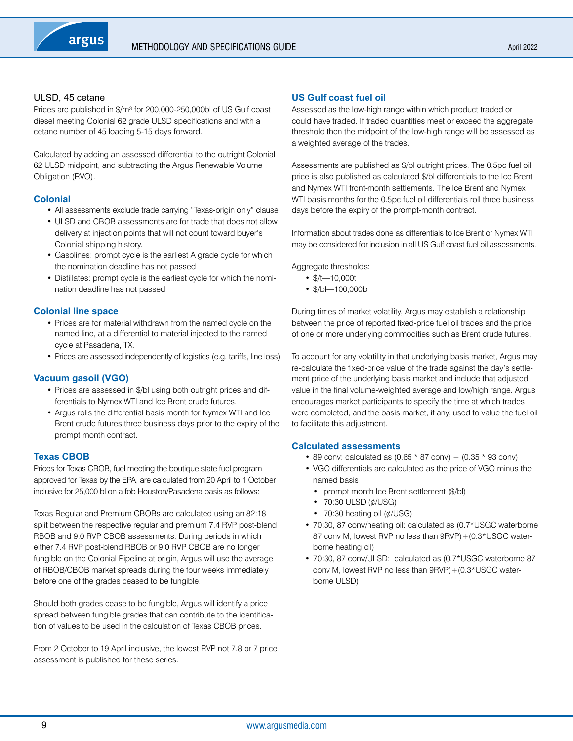# ULSD, 45 cetane

Prices are published in \$/m<sup>3</sup> for 200,000-250,000bl of US Gulf coast diesel meeting Colonial 62 grade ULSD specifications and with a cetane number of 45 loading 5-15 days forward.

Calculated by adding an assessed differential to the outright Colonial 62 ULSD midpoint, and subtracting the Argus Renewable Volume Obligation (RVO).

# **Colonial**

- All assessments exclude trade carrying "Texas-origin only" clause
- ULSD and CBOB assessments are for trade that does not allow delivery at injection points that will not count toward buyer's Colonial shipping history.
- Gasolines: prompt cycle is the earliest A grade cycle for which the nomination deadline has not passed
- Distillates: prompt cycle is the earliest cycle for which the nomination deadline has not passed

# **Colonial line space**

- Prices are for material withdrawn from the named cycle on the named line, at a differential to material injected to the named cycle at Pasadena, TX.
- Prices are assessed independently of logistics (e.g. tariffs, line loss)

# **Vacuum gasoil (VGO)**

- Prices are assessed in \$/bl using both outright prices and differentials to Nymex WTI and Ice Brent crude futures.
- Argus rolls the differential basis month for Nymex WTI and Ice Brent crude futures three business days prior to the expiry of the prompt month contract.

# **Texas CBOB**

Prices for Texas CBOB, fuel meeting the boutique state fuel program approved for Texas by the EPA, are calculated from 20 April to 1 October inclusive for 25,000 bl on a fob Houston/Pasadena basis as follows:

Texas Regular and Premium CBOBs are calculated using an 82:18 split between the respective regular and premium 7.4 RVP post-blend RBOB and 9.0 RVP CBOB assessments. During periods in which either 7.4 RVP post-blend RBOB or 9.0 RVP CBOB are no longer fungible on the Colonial Pipeline at origin, Argus will use the average of RBOB/CBOB market spreads during the four weeks immediately before one of the grades ceased to be fungible.

Should both grades cease to be fungible, Argus will identify a price spread between fungible grades that can contribute to the identification of values to be used in the calculation of Texas CBOB prices.

From 2 October to 19 April inclusive, the lowest RVP not 7.8 or 7 price assessment is published for these series.

# **US Gulf coast fuel oil**

Assessed as the low-high range within which product traded or could have traded. If traded quantities meet or exceed the aggregate threshold then the midpoint of the low-high range will be assessed as a weighted average of the trades.

Assessments are published as \$/bl outright prices. The 0.5pc fuel oil price is also published as calculated \$/bl differentials to the Ice Brent and Nymex WTI front-month settlements. The Ice Brent and Nymex WTI basis months for the 0.5pc fuel oil differentials roll three business days before the expiry of the prompt-month contract.

Information about trades done as differentials to Ice Brent or Nymex WTI may be considered for inclusion in all US Gulf coast fuel oil assessments.

Aggregate thresholds:

- \$/t—10,000t
- \$/bl—100,000bl

During times of market volatility, Argus may establish a relationship between the price of reported fixed-price fuel oil trades and the price of one or more underlying commodities such as Brent crude futures.

To account for any volatility in that underlying basis market, Argus may re-calculate the fixed-price value of the trade against the day's settlement price of the underlying basis market and include that adjusted value in the final volume-weighted average and low/high range. Argus encourages market participants to specify the time at which trades were completed, and the basis market, if any, used to value the fuel oil to facilitate this adjustment.

# **Calculated assessments**

- 89 conv: calculated as  $(0.65 * 87 \text{ conv}) + (0.35 * 93 \text{ conv})$
- VGO differentials are calculated as the price of VGO minus the named basis
	- prompt month Ice Brent settlement (\$/bl)
	- 70:30 ULSD (¢/USG)
	- 70:30 heating oil  $(\phi/\text{USG})$
- 70:30, 87 conv/heating oil: calculated as (0.7\*USGC waterborne 87 conv M, lowest RVP no less than 9RVP) + (0.3\*USGC waterborne heating oil)
- 70:30, 87 conv/ULSD: calculated as (0.7\*USGC waterborne 87 conv M, lowest RVP no less than  $9RVP$ ) + (0.3\*USGC waterborne ULSD)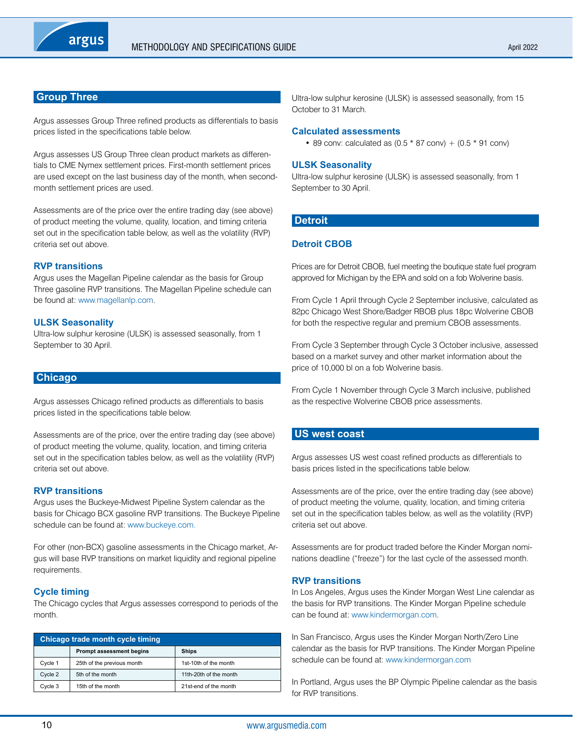# <span id="page-9-0"></span>**Group Three**

Argus assesses Group Three refined products as differentials to basis prices listed in the specifications table below.

Argus assesses US Group Three clean product markets as differentials to CME Nymex settlement prices. First-month settlement prices are used except on the last business day of the month, when secondmonth settlement prices are used.

Assessments are of the price over the entire trading day (see above) of product meeting the volume, quality, location, and timing criteria set out in the specification table below, as well as the volatility (RVP) criteria set out above.

# **RVP transitions**

Argus uses the Magellan Pipeline calendar as the basis for Group Three gasoline RVP transitions. The Magellan Pipeline schedule can be found at: [www.magellanlp.com.](www.magellanlp.com)

#### **ULSK Seasonality**

Ultra-low sulphur kerosine (ULSK) is assessed seasonally, from 1 September to 30 April.

# **Chicago**

Argus assesses Chicago refined products as differentials to basis prices listed in the specifications table below.

Assessments are of the price, over the entire trading day (see above) of product meeting the volume, quality, location, and timing criteria set out in the specification tables below, as well as the volatility (RVP) criteria set out above.

# **RVP transitions**

Argus uses the Buckeye-Midwest Pipeline System calendar as the basis for Chicago BCX gasoline RVP transitions. The Buckeye Pipeline schedule can be found at: [www.buckeye.com.](www.buckeye.com)

For other (non-BCX) gasoline assessments in the Chicago market, Argus will base RVP transitions on market liquidity and regional pipeline requirements.

# **Cycle timing**

The Chicago cycles that Argus assesses correspond to periods of the month.

| Chicago trade month cycle timing |                                 |                        |  |  |  |  |  |
|----------------------------------|---------------------------------|------------------------|--|--|--|--|--|
|                                  | <b>Prompt assessment begins</b> | <b>Ships</b>           |  |  |  |  |  |
| Cycle 1                          | 25th of the previous month      | 1st-10th of the month  |  |  |  |  |  |
| Cycle 2                          | 5th of the month                | 11th-20th of the month |  |  |  |  |  |
| Cycle 3                          | 15th of the month               | 21st-end of the month  |  |  |  |  |  |

Ultra-low sulphur kerosine (ULSK) is assessed seasonally, from 15 October to 31 March.

#### **Calculated assessments**

• 89 conv: calculated as  $(0.5 * 87 \text{ conv}) + (0.5 * 91 \text{ conv})$ 

# **ULSK Seasonality**

Ultra-low sulphur kerosine (ULSK) is assessed seasonally, from 1 September to 30 April.

# **Detroit**

# **Detroit CBOB**

Prices are for Detroit CBOB, fuel meeting the boutique state fuel program approved for Michigan by the EPA and sold on a fob Wolverine basis.

From Cycle 1 April through Cycle 2 September inclusive, calculated as 82pc Chicago West Shore/Badger RBOB plus 18pc Wolverine CBOB for both the respective regular and premium CBOB assessments.

From Cycle 3 September through Cycle 3 October inclusive, assessed based on a market survey and other market information about the price of 10,000 bl on a fob Wolverine basis.

From Cycle 1 November through Cycle 3 March inclusive, published as the respective Wolverine CBOB price assessments.

# **US west coast**

Argus assesses US west coast refined products as differentials to basis prices listed in the specifications table below.

Assessments are of the price, over the entire trading day (see above) of product meeting the volume, quality, location, and timing criteria set out in the specification tables below, as well as the volatility (RVP) criteria set out above.

Assessments are for product traded before the Kinder Morgan nominations deadline ("freeze") for the last cycle of the assessed month.

# **RVP transitions**

In Los Angeles, Argus uses the Kinder Morgan West Line calendar as the basis for RVP transitions. The Kinder Morgan Pipeline schedule can be found at: [www.kindermorgan.com.](www.kindermorgan.com)

In San Francisco, Argus uses the Kinder Morgan North/Zero Line calendar as the basis for RVP transitions. The Kinder Morgan Pipeline schedule can be found at:<www.kindermorgan.com>

In Portland, Argus uses the BP Olympic Pipeline calendar as the basis for RVP transitions.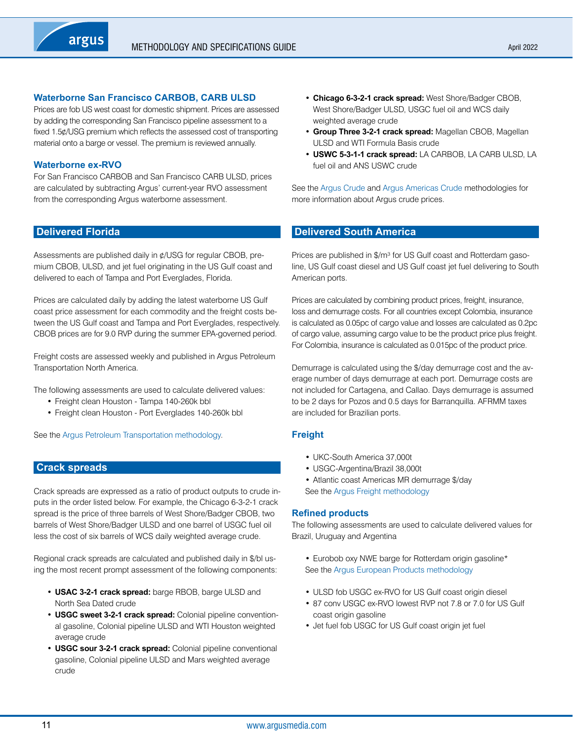# <span id="page-10-0"></span>**Waterborne San Francisco CARBOB, CARB ULSD**

Prices are fob US west coast for domestic shipment. Prices are assessed by adding the corresponding San Francisco pipeline assessment to a fixed 1.5¢/USG premium which reflects the assessed cost of transporting material onto a barge or vessel. The premium is reviewed annually.

#### **Waterborne ex-RVO**

For San Francisco CARBOB and San Francisco CARB ULSD, prices are calculated by subtracting Argus' current-year RVO assessment from the corresponding Argus waterborne assessment.

# **Delivered Florida**

Assessments are published daily in ¢/USG for regular CBOB, premium CBOB, ULSD, and jet fuel originating in the US Gulf coast and delivered to each of Tampa and Port Everglades, Florida.

Prices are calculated daily by adding the latest waterborne US Gulf coast price assessment for each commodity and the freight costs between the US Gulf coast and Tampa and Port Everglades, respectively. CBOB prices are for 9.0 RVP during the summer EPA-governed period.

Freight costs are assessed weekly and published in Argus Petroleum Transportation North America.

The following assessments are used to calculate delivered values:

- Freight clean Houston Tampa 140-260k bbl
- Freight clean Houston Port Everglades 140-260k bbl

See the [Argus Petroleum Transportation methodology.](https://www.argusmedia.com/-/media/Files/methodology/argus-petroleum-transportation-north-america.ashx)

# **Crack spreads**

Crack spreads are expressed as a ratio of product outputs to crude inputs in the order listed below. For example, the Chicago 6-3-2-1 crack spread is the price of three barrels of West Shore/Badger CBOB, two barrels of West Shore/Badger ULSD and one barrel of USGC fuel oil less the cost of six barrels of WCS daily weighted average crude.

Regional crack spreads are calculated and published daily in \$/bl using the most recent prompt assessment of the following components:

- **USAC 3-2-1 crack spread:** barge RBOB, barge ULSD and North Sea Dated crude
- **USGC sweet 3-2-1 crack spread:** Colonial pipeline conventional gasoline, Colonial pipeline ULSD and WTI Houston weighted average crude
- **USGC sour 3-2-1 crack spread:** Colonial pipeline conventional gasoline, Colonial pipeline ULSD and Mars weighted average crude
- **Chicago 6-3-2-1 crack spread:** West Shore/Badger CBOB, West Shore/Badger ULSD, USGC fuel oil and WCS daily weighted average crude
- **Group Three 3-2-1 crack spread:** Magellan CBOB, Magellan ULSD and WTI Formula Basis crude
- **USWC 5-3-1-1 crack spread:** LA CARBOB, LA CARB ULSD, LA fuel oil and ANS USWC crude

See the [Argus Crude](https://www.argusmedia.com/-/media/Files/methodology/argus-crude.ashx) and [Argus Americas Crude](https://www.argusmedia.com/-/media/Files/methodology/argus-americas-crude.ashx) methodologies for more information about Argus crude prices.

#### **Delivered South America**

Prices are published in \$/m<sup>3</sup> for US Gulf coast and Rotterdam gasoline, US Gulf coast diesel and US Gulf coast jet fuel delivering to South American ports.

Prices are calculated by combining product prices, freight, insurance, loss and demurrage costs. For all countries except Colombia, insurance is calculated as 0.05pc of cargo value and losses are calculated as 0.2pc of cargo value, assuming cargo value to be the product price plus freight. For Colombia, insurance is calculated as 0.015pc of the product price.

Demurrage is calculated using the \$/day demurrage cost and the average number of days demurrage at each port. Demurrage costs are not included for Cartagena, and Callao. Days demurrage is assumed to be 2 days for Pozos and 0.5 days for Barranquilla. AFRMM taxes are included for Brazilian ports.

#### **Freight**

- UKC-South America 37,000t
- USGC-Argentina/Brazil 38,000t
- Atlantic coast Americas MR demurrage \$/day
- See the [Argus Freight methodology](https://www.argusmedia.com/-/media/Files/methodology/argus-freight.ashx)

#### **Refined products**

The following assessments are used to calculate delivered values for Brazil, Uruguay and Argentina

- Eurobob oxy NWE barge for Rotterdam origin gasoline\* See the [Argus European Products methodology](https://www.argusmedia.com/-/media/Files/methodology/argus-european-products-methodology.ashx)
- ULSD fob USGC ex-RVO for US Gulf coast origin diesel
- 87 conv USGC ex-RVO lowest RVP not 7.8 or 7.0 for US Gulf coast origin gasoline
- Jet fuel fob USGC for US Gulf coast origin jet fuel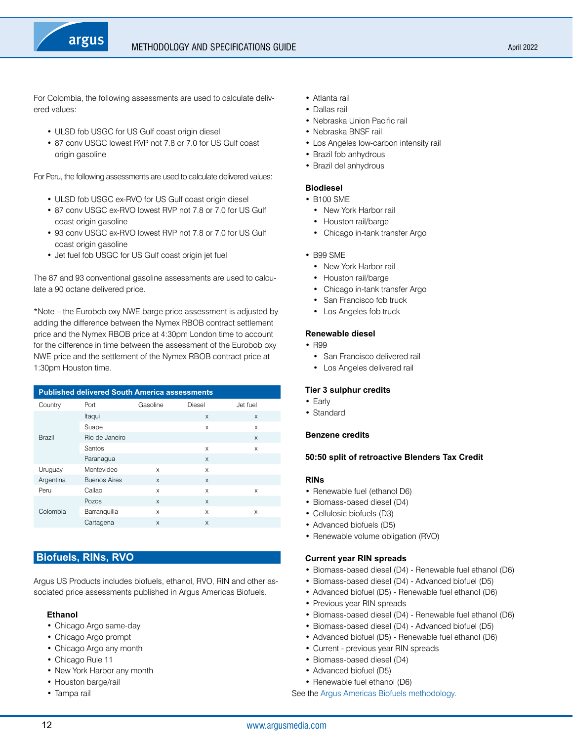<span id="page-11-0"></span>

For Colombia, the following assessments are used to calculate delivered values:

- ULSD fob USGC for US Gulf coast origin diesel
- 87 conv USGC lowest RVP not 7.8 or 7.0 for US Gulf coast origin gasoline

For Peru, the following assessments are used to calculate delivered values:

- ULSD fob USGC ex-RVO for US Gulf coast origin diesel
- 87 conv USGC ex-RVO lowest RVP not 7.8 or 7.0 for US Gulf coast origin gasoline
- 93 conv USGC ex-RVO lowest RVP not 7.8 or 7.0 for US Gulf coast origin gasoline
- Jet fuel fob USGC for US Gulf coast origin jet fuel

The 87 and 93 conventional gasoline assessments are used to calculate a 90 octane delivered price.

\*Note – the Eurobob oxy NWE barge price assessment is adjusted by adding the difference between the Nymex RBOB contract settlement price and the Nymex RBOB price at 4:30pm London time to account for the difference in time between the assessment of the Eurobob oxy NWE price and the settlement of the Nymex RBOB contract price at 1:30pm Houston time.

| <b>Published delivered South America assessments</b> |              |              |              |  |  |  |  |
|------------------------------------------------------|--------------|--------------|--------------|--|--|--|--|
| Gasoline<br>Jet fuel<br>Port<br>Diesel               |              |              |              |  |  |  |  |
| Itaqui                                               |              | $\mathsf{x}$ | $\mathsf{x}$ |  |  |  |  |
| Suape                                                |              | X            | X            |  |  |  |  |
| Rio de Janeiro                                       |              |              | X            |  |  |  |  |
| Santos                                               |              | $\times$     | X            |  |  |  |  |
| Paranagua                                            |              | $\mathsf{x}$ |              |  |  |  |  |
| Montevideo                                           | X            | X            |              |  |  |  |  |
| <b>Buenos Aires</b>                                  | $\mathsf{x}$ | $\mathsf{x}$ |              |  |  |  |  |
| Callao                                               | X            | X            | X            |  |  |  |  |
| Pozos                                                | $\mathsf{x}$ | $\mathsf{x}$ |              |  |  |  |  |
| Barranquilla                                         | X            | X            | X            |  |  |  |  |
| Cartagena                                            | $\mathsf{x}$ | $\mathsf{x}$ |              |  |  |  |  |
|                                                      |              |              |              |  |  |  |  |

# **Biofuels, RINs, RVO**

Argus US Products includes biofuels, ethanol, RVO, RIN and other associated price assessments published in Argus Americas Biofuels.

#### **Ethanol**

- Chicago Argo same-day
- Chicago Argo prompt
- Chicago Argo any month
- Chicago Rule 11
- New York Harbor any month
- Houston barge/rail
- Tampa rail
- Atlanta rail
- Dallas rail
- Nebraska Union Pacific rail
- Nebraska BNSF rail
- Los Angeles low-carbon intensity rail
- Brazil fob anhydrous
- Brazil del anhydrous

# **Biodiesel**

- B100 SME
	- New York Harbor rail
	- Houston rail/barge
	- Chicago in-tank transfer Argo
- B99 SME
	- New York Harbor rail
	- Houston rail/barge
	- Chicago in-tank transfer Argo
	- San Francisco fob truck
	- Los Angeles fob truck

#### **Renewable diesel**

- R99
	- San Francisco delivered rail
	- Los Angeles delivered rail

#### **Tier 3 sulphur credits**

- Early
- Standard

#### **Benzene credits**

#### **50:50 split of retroactive Blenders Tax Credit**

#### **RINs**

- Renewable fuel (ethanol D6)
- Biomass-based diesel (D4)
- Cellulosic biofuels (D3)
- Advanced biofuels (D5)
- Renewable volume obligation (RVO)

#### **Current year RIN spreads**

- Biomass-based diesel (D4) Renewable fuel ethanol (D6)
- Biomass-based diesel (D4) Advanced biofuel (D5)
- Advanced biofuel (D5) Renewable fuel ethanol (D6)
- Previous year RIN spreads
- Biomass-based diesel (D4) Renewable fuel ethanol (D6)
- Biomass-based diesel (D4) Advanced biofuel (D5)
- Advanced biofuel (D5) Renewable fuel ethanol (D6)
- Current previous year RIN spreads
- Biomass-based diesel (D4)
- Advanced biofuel (D5)
- Renewable fuel ethanol (D6)
- See the [Argus Americas Biofuels methodology.](https://www.argusmedia.com/-/media/Files/methodology/argus-americas-biofuels.ashx)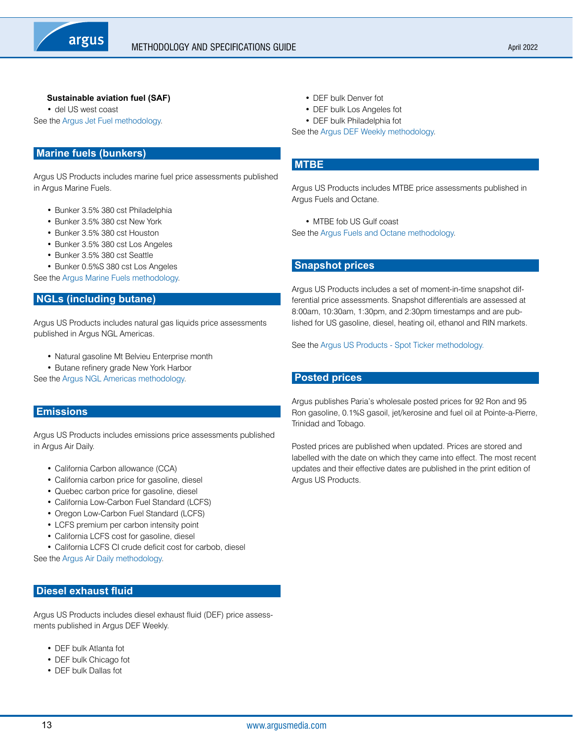# <span id="page-12-0"></span>**Sustainable aviation fuel (SAF)**

• del US west coast See the [Argus Jet Fuel methodology.](https://www.argusmedia.com/-/media/Files/methodology/argus-jet-fuel.ashx)

# **Marine fuels (bunkers)**

Argus US Products includes marine fuel price assessments published in Argus Marine Fuels.

- Bunker 3.5% 380 cst Philadelphia
- Bunker 3.5% 380 cst New York
- Bunker 3.5% 380 cst Houston
- Bunker 3.5% 380 cst Los Angeles
- Bunker 3.5% 380 cst Seattle
- Bunker 0.5%S 380 cst Los Angeles

See the [Argus Marine Fuels methodology](https://www.argusmedia.com/-/media/Files/methodology/argus-marine-fuels.ashx).

# **NGLs (including butane)**

Argus US Products includes natural gas liquids price assessments published in Argus NGL Americas.

- Natural gasoline Mt Belvieu Enterprise month
- Butane refinery grade New York Harbor

See the [Argus NGL Americas methodology.](https://www.argusmedia.com/-/media/Files/methodology/argus-ngl-americas.ashx)

# **Emissions**

Argus US Products includes emissions price assessments published in Argus Air Daily.

- California Carbon allowance (CCA)
- California carbon price for gasoline, diesel
- Quebec carbon price for gasoline, diesel
- California Low-Carbon Fuel Standard (LCFS)
- Oregon Low-Carbon Fuel Standard (LCFS)
- LCFS premium per carbon intensity point
- California LCFS cost for gasoline, diesel
- California LCFS CI crude deficit cost for carbob, diesel

See the [Argus Air Daily methodology.](https://www.argusmedia.com/-/media/Files/methodology/argus-air-daily-methodology.ashx)

# **Diesel exhaust fluid**

Argus US Products includes diesel exhaust fluid (DEF) price assessments published in Argus DEF Weekly.

- DEF bulk Atlanta fot
- DEF bulk Chicago fot
- DEF bulk Dallas fot
- DEF bulk Denver fot
- DEF bulk Los Angeles fot
- DEF bulk Philadelphia fot

See the [Argus DEF Weekly methodology](https://www.argusmedia.com/-/media/Files/methodology/argus-def-weekly.ashx).

# **MTBE**

Argus US Products includes MTBE price assessments published in Argus Fuels and Octane.

• MTBE fob US Gulf coast

See the [Argus Fuels and Octane methodology.](https://www.argusmedia.com/-/media/Files/methodology/argus-fuels-and-octane.ashx)

# **Snapshot prices**

Argus US Products includes a set of moment-in-time snapshot differential price assessments. Snapshot differentials are assessed at 8:00am, 10:30am, 1:30pm, and 2:30pm timestamps and are published for US gasoline, diesel, heating oil, ethanol and RIN markets.

See the [Argus US Products - Spot Ticker methodology.](https://www.argusmedia.com/-/media/Files/methodology/argus-spot-ticker.ashx)

# **Posted prices**

Argus publishes Paria's wholesale posted prices for 92 Ron and 95 Ron gasoline, 0.1%S gasoil, jet/kerosine and fuel oil at Pointe-a-Pierre, Trinidad and Tobago.

Posted prices are published when updated. Prices are stored and labelled with the date on which they came into effect. The most recent updates and their effective dates are published in the print edition of Argus US Products.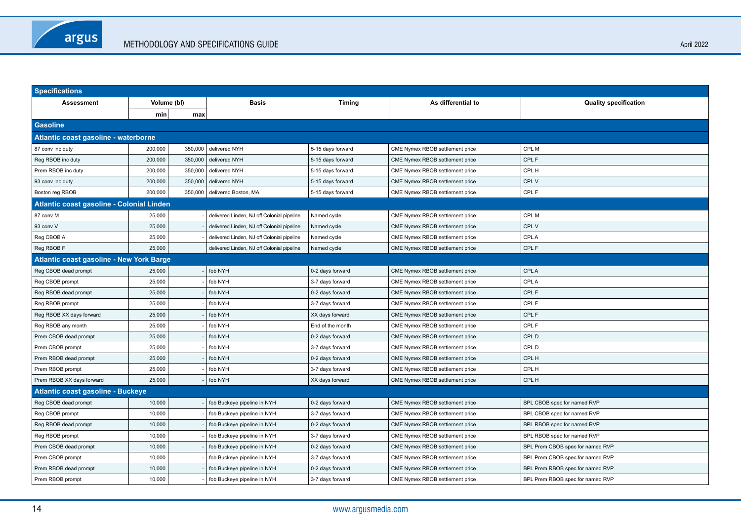| <b>Specifications</b>                           |                                      |              |                                            |                    |                                 |                                  |  |  |  |
|-------------------------------------------------|--------------------------------------|--------------|--------------------------------------------|--------------------|---------------------------------|----------------------------------|--|--|--|
| Assessment<br>Volume (bl)                       |                                      | <b>Basis</b> | <b>Timing</b>                              | As differential to | <b>Quality specification</b>    |                                  |  |  |  |
|                                                 | min                                  | max          |                                            |                    |                                 |                                  |  |  |  |
| <b>Gasoline</b>                                 |                                      |              |                                            |                    |                                 |                                  |  |  |  |
|                                                 | Atlantic coast gasoline - waterborne |              |                                            |                    |                                 |                                  |  |  |  |
| 87 conv inc duty                                | 200,000                              | 350,000      | delivered NYH                              | 5-15 days forward  | CME Nymex RBOB settlement price | CPL M                            |  |  |  |
| Reg RBOB inc duty                               | 200,000                              | 350,000      | delivered NYH                              | 5-15 days forward  | CME Nymex RBOB settlement price | CPL F                            |  |  |  |
| Prem RBOB inc duty                              | 200,000                              | 350,000      | delivered NYH                              | 5-15 days forward  | CME Nymex RBOB settlement price | CPL H                            |  |  |  |
| 93 conv inc duty                                | 200,000                              | 350,000      | delivered NYH                              | 5-15 days forward  | CME Nymex RBOB settlement price | CPL V                            |  |  |  |
| Boston reg RBOB                                 | 200,000                              | 350,000      | delivered Boston, MA                       | 5-15 days forward  | CME Nymex RBOB settlement price | CPL F                            |  |  |  |
| Atlantic coast gasoline - Colonial Linden       |                                      |              |                                            |                    |                                 |                                  |  |  |  |
| 87 conv M                                       | 25,000                               |              | delivered Linden, NJ off Colonial pipeline | Named cycle        | CME Nymex RBOB settlement price | CPL M                            |  |  |  |
| 93 conv V                                       | 25,000                               |              | delivered Linden, NJ off Colonial pipeline | Named cycle        | CME Nymex RBOB settlement price | CPL V                            |  |  |  |
| Reg CBOB A                                      | 25,000                               |              | delivered Linden, NJ off Colonial pipeline | Named cycle        | CME Nymex RBOB settlement price | CPL A                            |  |  |  |
| Reg RBOB F                                      | 25,000                               |              | delivered Linden, NJ off Colonial pipeline | Named cycle        | CME Nymex RBOB settlement price | CPL F                            |  |  |  |
| <b>Atlantic coast gasoline - New York Barge</b> |                                      |              |                                            |                    |                                 |                                  |  |  |  |
| Reg CBOB dead prompt                            | 25,000                               |              | fob NYH                                    | 0-2 days forward   | CME Nymex RBOB settlement price | CPL A                            |  |  |  |
| Reg CBOB prompt                                 | 25,000                               |              | fob NYH                                    | 3-7 days forward   | CME Nymex RBOB settlement price | CPL A                            |  |  |  |
| Reg RBOB dead prompt                            | 25,000                               |              | fob NYH                                    | 0-2 days forward   | CME Nymex RBOB settlement price | CPL F                            |  |  |  |
| Reg RBOB prompt                                 | 25,000                               |              | fob NYH                                    | 3-7 days forward   | CME Nymex RBOB settlement price | CPL F                            |  |  |  |
| Reg RBOB XX days forward                        | 25,000                               |              | fob NYH                                    | XX days forward    | CME Nymex RBOB settlement price | CPL F                            |  |  |  |
| Reg RBOB any month                              | 25,000                               |              | fob NYH                                    | End of the month   | CME Nymex RBOB settlement price | CPL F                            |  |  |  |
| Prem CBOB dead prompt                           | 25,000                               |              | fob NYH                                    | 0-2 days forward   | CME Nymex RBOB settlement price | CPL D                            |  |  |  |
| Prem CBOB prompt                                | 25,000                               |              | fob NYH                                    | 3-7 days forward   | CME Nymex RBOB settlement price | CPL D                            |  |  |  |
| Prem RBOB dead prompt                           | 25,000                               |              | fob NYH                                    | 0-2 days forward   | CME Nymex RBOB settlement price | CPL H                            |  |  |  |
| Prem RBOB prompt                                | 25,000                               |              | fob NYH                                    | 3-7 days forward   | CME Nymex RBOB settlement price | CPL H                            |  |  |  |
| Prem RBOB XX days forward                       | 25,000                               |              | fob NYH                                    | XX days forward    | CME Nymex RBOB settlement price | CPL H                            |  |  |  |
| Atlantic coast gasoline - Buckeye               |                                      |              |                                            |                    |                                 |                                  |  |  |  |
| Reg CBOB dead prompt                            | 10,000                               |              | fob Buckeye pipeline in NYH                | 0-2 days forward   | CME Nymex RBOB settlement price | BPL CBOB spec for named RVP      |  |  |  |
| Reg CBOB prompt                                 | 10,000                               |              | fob Buckeye pipeline in NYH                | 3-7 days forward   | CME Nymex RBOB settlement price | BPL CBOB spec for named RVP      |  |  |  |
| Reg RBOB dead prompt                            | 10,000                               |              | fob Buckeye pipeline in NYH                | 0-2 days forward   | CME Nymex RBOB settlement price | BPL RBOB spec for named RVP      |  |  |  |
| Reg RBOB prompt                                 | 10,000                               |              | fob Buckeye pipeline in NYH                | 3-7 days forward   | CME Nymex RBOB settlement price | BPL RBOB spec for named RVP      |  |  |  |
| Prem CBOB dead prompt                           | 10,000                               |              | fob Buckeye pipeline in NYH                | 0-2 days forward   | CME Nymex RBOB settlement price | BPL Prem CBOB spec for named RVP |  |  |  |
| Prem CBOB prompt                                | 10,000                               |              | fob Buckeye pipeline in NYH                | 3-7 days forward   | CME Nymex RBOB settlement price | BPL Prem CBOB spec for named RVP |  |  |  |
| Prem RBOB dead prompt                           | 10,000                               |              | fob Buckeye pipeline in NYH                | 0-2 days forward   | CME Nymex RBOB settlement price | BPL Prem RBOB spec for named RVP |  |  |  |
| Prem RBOB prompt                                | 10,000                               |              | fob Buckeye pipeline in NYH                | 3-7 days forward   | CME Nymex RBOB settlement price | BPL Prem RBOB spec for named RVP |  |  |  |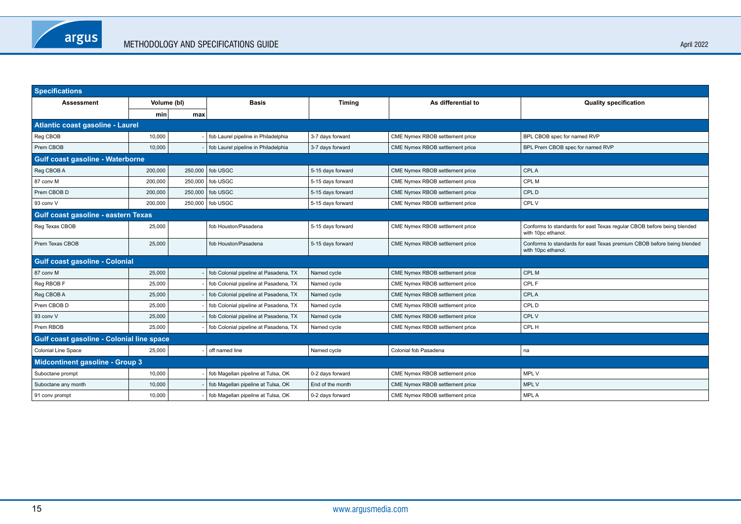| <b>Specifications</b>                     |             |         |                                       |                   |                                 |                                                                                              |  |
|-------------------------------------------|-------------|---------|---------------------------------------|-------------------|---------------------------------|----------------------------------------------------------------------------------------------|--|
| <b>Assessment</b>                         | Volume (bl) |         | <b>Basis</b>                          | <b>Timing</b>     | As differential to              | <b>Quality specification</b>                                                                 |  |
|                                           | min         | max     |                                       |                   |                                 |                                                                                              |  |
| Atlantic coast gasoline - Laurel          |             |         |                                       |                   |                                 |                                                                                              |  |
| Reg CBOB                                  | 10,000      |         | fob Laurel pipeline in Philadelphia   | 3-7 days forward  | CME Nymex RBOB settlement price | BPL CBOB spec for named RVP                                                                  |  |
| Prem CBOB                                 | 10.000      |         | fob Laurel pipeline in Philadelphia   | 3-7 days forward  | CME Nymex RBOB settlement price | BPL Prem CBOB spec for named RVP                                                             |  |
| <b>Gulf coast gasoline - Waterborne</b>   |             |         |                                       |                   |                                 |                                                                                              |  |
| Reg CBOB A                                | 200,000     | 250,000 | fob USGC                              | 5-15 days forward | CME Nymex RBOB settlement price | <b>CPLA</b>                                                                                  |  |
| 87 conv M                                 | 200,000     | 250,000 | fob USGC                              | 5-15 days forward | CME Nymex RBOB settlement price | CPL M                                                                                        |  |
| Prem CBOB D                               | 200,000     | 250,000 | fob USGC                              | 5-15 days forward | CME Nymex RBOB settlement price | CPL D                                                                                        |  |
| 93 conv V                                 | 200,000     |         | 250,000   fob USGC                    | 5-15 days forward | CME Nymex RBOB settlement price | CPL V                                                                                        |  |
| Gulf coast gasoline - eastern Texas       |             |         |                                       |                   |                                 |                                                                                              |  |
| Reg Texas CBOB                            | 25,000      |         | fob Houston/Pasadena                  | 5-15 days forward | CME Nymex RBOB settlement price | Conforms to standards for east Texas regular CBOB before being blended<br>with 10pc ethanol. |  |
| Prem Texas CBOB                           | 25,000      |         | fob Houston/Pasadena                  | 5-15 days forward | CME Nymex RBOB settlement price | Conforms to standards for east Texas premium CBOB before being blended<br>with 10pc ethanol. |  |
| <b>Gulf coast gasoline - Colonial</b>     |             |         |                                       |                   |                                 |                                                                                              |  |
| 87 conv M                                 | 25,000      |         | fob Colonial pipeline at Pasadena, TX | Named cycle       | CME Nymex RBOB settlement price | CPL M                                                                                        |  |
| Reg RBOB F                                | 25,000      |         | fob Colonial pipeline at Pasadena, TX | Named cycle       | CME Nymex RBOB settlement price | CPL F                                                                                        |  |
| Reg CBOB A                                | 25,000      |         | fob Colonial pipeline at Pasadena, TX | Named cycle       | CME Nymex RBOB settlement price | <b>CPLA</b>                                                                                  |  |
| Prem CBOB D                               | 25,000      |         | fob Colonial pipeline at Pasadena, TX | Named cycle       | CME Nymex RBOB settlement price | CPL D                                                                                        |  |
| 93 conv V                                 | 25,000      |         | fob Colonial pipeline at Pasadena, TX | Named cycle       | CME Nymex RBOB settlement price | CPL V                                                                                        |  |
| Prem RBOB                                 | 25,000      |         | fob Colonial pipeline at Pasadena, TX | Named cycle       | CME Nymex RBOB settlement price | CPL H                                                                                        |  |
| Gulf coast gasoline - Colonial line space |             |         |                                       |                   |                                 |                                                                                              |  |
| <b>Colonial Line Space</b>                | 25,000      |         | off named line                        | Named cycle       | Colonial fob Pasadena           | na                                                                                           |  |
| <b>Midcontinent gasoline - Group 3</b>    |             |         |                                       |                   |                                 |                                                                                              |  |
| Suboctane prompt                          | 10,000      |         | fob Magellan pipeline at Tulsa, OK    | 0-2 days forward  | CME Nymex RBOB settlement price | MPL V                                                                                        |  |
| Suboctane any month                       | 10,000      |         | fob Magellan pipeline at Tulsa, OK    | End of the month  | CME Nymex RBOB settlement price | MPL V                                                                                        |  |
| 91 conv prompt                            | 10,000      |         | fob Magellan pipeline at Tulsa, OK    | 0-2 days forward  | CME Nymex RBOB settlement price | <b>MPLA</b>                                                                                  |  |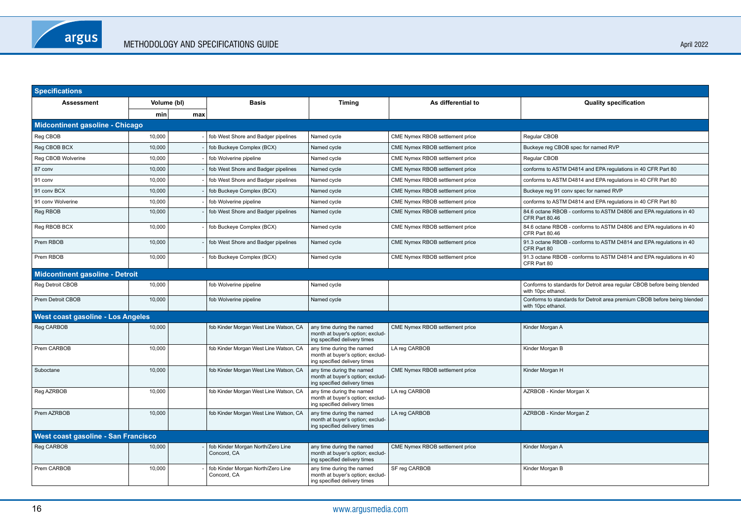| <b>Specifications</b>                  |                                        |     |                                                  |                                                                                               |                                 |                                                                                                |  |  |  |
|----------------------------------------|----------------------------------------|-----|--------------------------------------------------|-----------------------------------------------------------------------------------------------|---------------------------------|------------------------------------------------------------------------------------------------|--|--|--|
| <b>Assessment</b>                      | Volume (bl)                            |     | <b>Basis</b>                                     | <b>Timing</b>                                                                                 | As differential to              | <b>Quality specification</b>                                                                   |  |  |  |
|                                        | min                                    | max |                                                  |                                                                                               |                                 |                                                                                                |  |  |  |
|                                        | <b>Midcontinent gasoline - Chicago</b> |     |                                                  |                                                                                               |                                 |                                                                                                |  |  |  |
| Reg CBOB                               | 10,000                                 |     | fob West Shore and Badger pipelines              | Named cycle                                                                                   | CME Nymex RBOB settlement price | Regular CBOB                                                                                   |  |  |  |
| Reg CBOB BCX                           | 10.000                                 |     | fob Buckeye Complex (BCX)                        | Named cycle                                                                                   | CME Nymex RBOB settlement price | Buckeye reg CBOB spec for named RVP                                                            |  |  |  |
| Reg CBOB Wolverine                     | 10.000                                 |     | fob Wolverine pipeline                           | Named cycle                                                                                   | CME Nymex RBOB settlement price | Regular CBOB                                                                                   |  |  |  |
| 87 conv                                | 10,000                                 |     | fob West Shore and Badger pipelines              | Named cycle                                                                                   | CME Nymex RBOB settlement price | conforms to ASTM D4814 and EPA regulations in 40 CFR Part 80                                   |  |  |  |
| 91 conv                                | 10,000                                 |     | fob West Shore and Badger pipelines              | Named cycle                                                                                   | CME Nymex RBOB settlement price | conforms to ASTM D4814 and EPA regulations in 40 CFR Part 80                                   |  |  |  |
| 91 conv BCX                            | 10,000                                 |     | fob Buckeye Complex (BCX)                        | Named cycle                                                                                   | CME Nymex RBOB settlement price | Buckeye reg 91 conv spec for named RVP                                                         |  |  |  |
| 91 conv Wolverine                      | 10,000                                 |     | fob Wolverine pipeline                           | Named cycle                                                                                   | CME Nymex RBOB settlement price | conforms to ASTM D4814 and EPA regulations in 40 CFR Part 80                                   |  |  |  |
| Reg RBOB                               | 10,000                                 |     | fob West Shore and Badger pipelines              | Named cycle                                                                                   | CME Nymex RBOB settlement price | 84.6 octane RBOB - conforms to ASTM D4806 and EPA regulations in 40<br>CFR Part 80.46          |  |  |  |
| Reg RBOB BCX                           | 10,000                                 |     | fob Buckeye Complex (BCX)                        | Named cycle                                                                                   | CME Nymex RBOB settlement price | 84.6 octane RBOB - conforms to ASTM D4806 and EPA regulations in 40<br>CFR Part 80.46          |  |  |  |
| Prem RBOB                              | 10,000                                 |     | fob West Shore and Badger pipelines              | Named cycle                                                                                   | CME Nymex RBOB settlement price | 91.3 octane RBOB - conforms to ASTM D4814 and EPA regulations in 40<br>CFR Part 80             |  |  |  |
| Prem RBOB                              | 10.000                                 |     | fob Buckeye Complex (BCX)                        | Named cycle                                                                                   | CME Nymex RBOB settlement price | 91.3 octane RBOB - conforms to ASTM D4814 and EPA regulations in 40<br>CFR Part 80             |  |  |  |
| <b>Midcontinent gasoline - Detroit</b> |                                        |     |                                                  |                                                                                               |                                 |                                                                                                |  |  |  |
| Reg Detroit CBOB                       | 10,000                                 |     | fob Wolverine pipeline                           | Named cycle                                                                                   |                                 | Conforms to standards for Detroit area regular CBOB before being blended<br>with 10pc ethanol. |  |  |  |
| <b>Prem Detroit CBOB</b>               | 10.000                                 |     | fob Wolverine pipeline                           | Named cycle                                                                                   |                                 | Conforms to standards for Detroit area premium CBOB before being blended<br>with 10pc ethanol. |  |  |  |
| West coast gasoline - Los Angeles      |                                        |     |                                                  |                                                                                               |                                 |                                                                                                |  |  |  |
| Reg CARBOB                             | 10,000                                 |     | fob Kinder Morgan West Line Watson, CA           | any time during the named<br>month at buyer's option; exclud-<br>ing specified delivery times | CME Nymex RBOB settlement price | Kinder Morgan A                                                                                |  |  |  |
| Prem CARBOB                            | 10,000                                 |     | fob Kinder Morgan West Line Watson, CA           | any time during the named<br>month at buyer's option; exclud-<br>ing specified delivery times | LA reg CARBOB                   | Kinder Morgan B                                                                                |  |  |  |
| Suboctane                              | 10,000                                 |     | fob Kinder Morgan West Line Watson, CA           | any time during the named<br>month at buyer's option; exclud-<br>ing specified delivery times | CME Nymex RBOB settlement price | Kinder Morgan H                                                                                |  |  |  |
| Reg AZRBOB                             | 10,000                                 |     | fob Kinder Morgan West Line Watson, CA           | any time during the named<br>month at buyer's option; exclud-<br>ing specified delivery times | LA reg CARBOB                   | AZRBOB - Kinder Morgan X                                                                       |  |  |  |
| Prem AZRBOB                            | 10,000                                 |     | fob Kinder Morgan West Line Watson, CA           | any time during the named<br>month at buyer's option; exclud-<br>ing specified delivery times | LA reg CARBOB                   | AZRBOB - Kinder Morgan Z                                                                       |  |  |  |
| West coast gasoline - San Francisco    |                                        |     |                                                  |                                                                                               |                                 |                                                                                                |  |  |  |
| Reg CARBOB                             | 10,000                                 |     | fob Kinder Morgan North/Zero Line<br>Concord, CA | any time during the named<br>month at buyer's option; exclud-<br>ing specified delivery times | CME Nymex RBOB settlement price | Kinder Morgan A                                                                                |  |  |  |
| Prem CARBOB                            | 10,000                                 |     | fob Kinder Morgan North/Zero Line<br>Concord, CA | any time during the named<br>month at buyer's option; exclud-<br>ing specified delivery times | SF reg CARBOB                   | Kinder Morgan B                                                                                |  |  |  |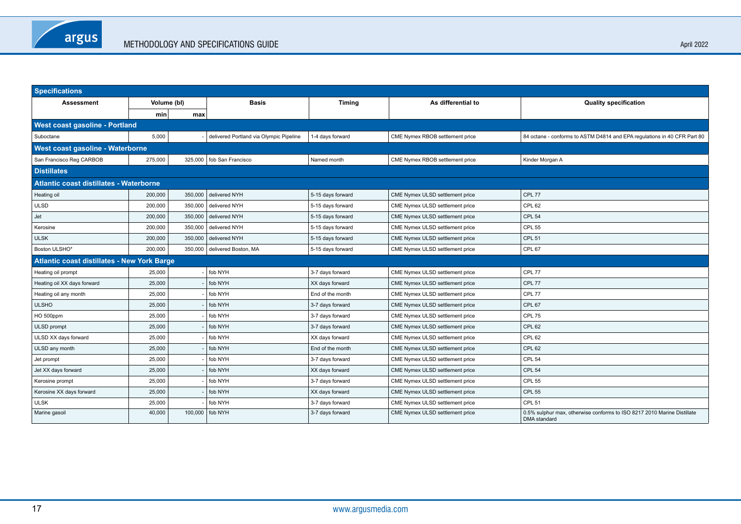| <b>Specifications</b>                              |                                  |         |                                         |                   |                                 |                                                                                                |  |  |  |  |
|----------------------------------------------------|----------------------------------|---------|-----------------------------------------|-------------------|---------------------------------|------------------------------------------------------------------------------------------------|--|--|--|--|
| <b>Assessment</b>                                  | Volume (bl)                      |         | <b>Basis</b>                            | <b>Timing</b>     | As differential to              | <b>Quality specification</b>                                                                   |  |  |  |  |
|                                                    | min                              | max     |                                         |                   |                                 |                                                                                                |  |  |  |  |
| West coast gasoline - Portland                     |                                  |         |                                         |                   |                                 |                                                                                                |  |  |  |  |
| Suboctane                                          | 5,000                            |         | delivered Portland via Olympic Pipeline | 1-4 days forward  | CME Nymex RBOB settlement price | 84 octane - conforms to ASTM D4814 and EPA regulations in 40 CFR Part 80                       |  |  |  |  |
|                                                    | West coast gasoline - Waterborne |         |                                         |                   |                                 |                                                                                                |  |  |  |  |
| San Francisco Reg CARBOB                           | 275,000                          | 325,000 | fob San Francisco                       | Named month       | CME Nymex RBOB settlement price | Kinder Morgan A                                                                                |  |  |  |  |
| <b>Distillates</b>                                 |                                  |         |                                         |                   |                                 |                                                                                                |  |  |  |  |
| <b>Atlantic coast distillates - Waterborne</b>     |                                  |         |                                         |                   |                                 |                                                                                                |  |  |  |  |
| Heating oil                                        | 200,000                          | 350,000 | delivered NYH                           | 5-15 days forward | CME Nymex ULSD settlement price | CPL 77                                                                                         |  |  |  |  |
| <b>ULSD</b>                                        | 200,000                          | 350,000 | delivered NYH                           | 5-15 days forward | CME Nymex ULSD settlement price | <b>CPL 62</b>                                                                                  |  |  |  |  |
| Jet                                                | 200,000                          | 350,000 | delivered NYH                           | 5-15 days forward | CME Nymex ULSD settlement price | <b>CPL 54</b>                                                                                  |  |  |  |  |
| Kerosine                                           | 200,000                          | 350,000 | delivered NYH                           | 5-15 days forward | CME Nymex ULSD settlement price | <b>CPL 55</b>                                                                                  |  |  |  |  |
| <b>ULSK</b>                                        | 200,000                          | 350,000 | delivered NYH                           | 5-15 days forward | CME Nymex ULSD settlement price | <b>CPL 51</b>                                                                                  |  |  |  |  |
| Boston ULSHO*                                      | 200,000                          | 350,000 | delivered Boston, MA                    | 5-15 days forward | CME Nymex ULSD settlement price | CPL 67                                                                                         |  |  |  |  |
| <b>Atlantic coast distillates - New York Barge</b> |                                  |         |                                         |                   |                                 |                                                                                                |  |  |  |  |
| Heating oil prompt                                 | 25,000                           |         | fob NYH                                 | 3-7 days forward  | CME Nymex ULSD settlement price | CPL 77                                                                                         |  |  |  |  |
| Heating oil XX days forward                        | 25,000                           |         | fob NYH                                 | XX days forward   | CME Nymex ULSD settlement price | CPL 77                                                                                         |  |  |  |  |
| Heating oil any month                              | 25,000                           |         | fob NYH                                 | End of the month  | CME Nymex ULSD settlement price | CPL 77                                                                                         |  |  |  |  |
| <b>ULSHO</b>                                       | 25,000                           |         | fob NYH                                 | 3-7 days forward  | CME Nymex ULSD settlement price | CPL 67                                                                                         |  |  |  |  |
| HO 500ppm                                          | 25,000                           |         | fob NYH                                 | 3-7 days forward  | CME Nymex ULSD settlement price | CPL 75                                                                                         |  |  |  |  |
| ULSD prompt                                        | 25,000                           |         | fob NYH                                 | 3-7 days forward  | CME Nymex ULSD settlement price | CPL <sub>62</sub>                                                                              |  |  |  |  |
| ULSD XX days forward                               | 25,000                           |         | fob NYH                                 | XX days forward   | CME Nymex ULSD settlement price | CPL <sub>62</sub>                                                                              |  |  |  |  |
| ULSD any month                                     | 25,000                           |         | fob NYH                                 | End of the month  | CME Nymex ULSD settlement price | <b>CPL 62</b>                                                                                  |  |  |  |  |
| Jet prompt                                         | 25,000                           |         | fob NYH                                 | 3-7 days forward  | CME Nymex ULSD settlement price | CPL <sub>54</sub>                                                                              |  |  |  |  |
| Jet XX days forward                                | 25,000                           |         | fob NYH                                 | XX days forward   | CME Nymex ULSD settlement price | CPL <sub>54</sub>                                                                              |  |  |  |  |
| Kerosine prompt                                    | 25,000                           |         | fob NYH                                 | 3-7 days forward  | CME Nymex ULSD settlement price | <b>CPL 55</b>                                                                                  |  |  |  |  |
| Kerosine XX days forward                           | 25,000                           |         | fob NYH                                 | XX days forward   | CME Nymex ULSD settlement price | <b>CPL 55</b>                                                                                  |  |  |  |  |
| <b>ULSK</b>                                        | 25,000                           |         | fob NYH                                 | 3-7 days forward  | CME Nymex ULSD settlement price | CPL <sub>51</sub>                                                                              |  |  |  |  |
| Marine gasoil                                      | 40,000                           | 100,000 | fob NYH                                 | 3-7 days forward  | CME Nymex ULSD settlement price | 0.5% sulphur max, otherwise conforms to ISO 8217 2010 Marine Distillate<br><b>DMA</b> standard |  |  |  |  |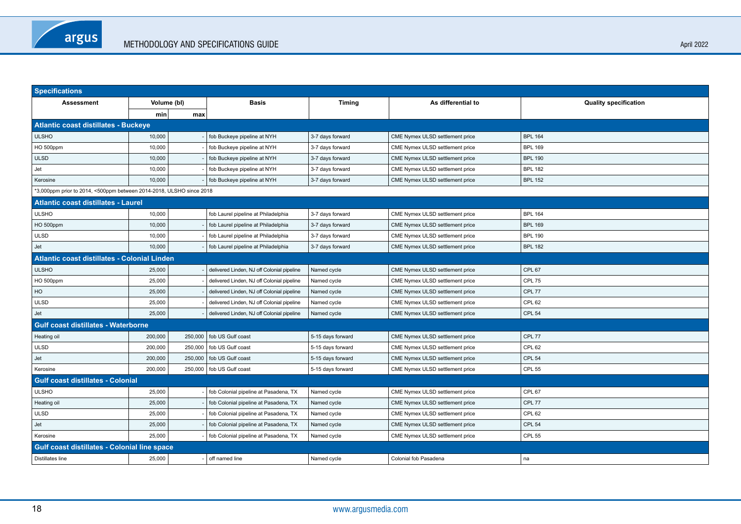| <b>Specifications</b>                                                |         |             |                                            |                   |                                 |                              |  |  |  |
|----------------------------------------------------------------------|---------|-------------|--------------------------------------------|-------------------|---------------------------------|------------------------------|--|--|--|
| <b>Assessment</b>                                                    |         | Volume (bl) | <b>Basis</b>                               | <b>Timing</b>     | As differential to              | <b>Quality specification</b> |  |  |  |
|                                                                      | min     | max         |                                            |                   |                                 |                              |  |  |  |
| <b>Atlantic coast distillates - Buckeye</b>                          |         |             |                                            |                   |                                 |                              |  |  |  |
| ULSHO                                                                | 10,000  |             | fob Buckeye pipeline at NYH                | 3-7 days forward  | CME Nymex ULSD settlement price | <b>BPL 164</b>               |  |  |  |
| HO 500ppm                                                            | 10,000  |             | fob Buckeye pipeline at NYH                | 3-7 days forward  | CME Nymex ULSD settlement price | <b>BPL 169</b>               |  |  |  |
| <b>ULSD</b>                                                          | 10,000  |             | fob Buckeye pipeline at NYH                | 3-7 days forward  | CME Nymex ULSD settlement price | <b>BPL 190</b>               |  |  |  |
| Jet                                                                  | 10,000  |             | fob Buckeye pipeline at NYH                | 3-7 days forward  | CME Nymex ULSD settlement price | <b>BPL 182</b>               |  |  |  |
| Kerosine                                                             | 10,000  |             | fob Buckeye pipeline at NYH                | 3-7 days forward  | CME Nymex ULSD settlement price | <b>BPL 152</b>               |  |  |  |
| *3,000ppm prior to 2014, <500ppm between 2014-2018, ULSHO since 2018 |         |             |                                            |                   |                                 |                              |  |  |  |
| Atlantic coast distillates - Laurel                                  |         |             |                                            |                   |                                 |                              |  |  |  |
| <b>ULSHO</b>                                                         | 10,000  |             | fob Laurel pipeline at Philadelphia        | 3-7 days forward  | CME Nymex ULSD settlement price | <b>BPL 164</b>               |  |  |  |
| HO 500ppm                                                            | 10,000  |             | fob Laurel pipeline at Philadelphia        | 3-7 days forward  | CME Nymex ULSD settlement price | <b>BPL 169</b>               |  |  |  |
| <b>ULSD</b>                                                          | 10,000  |             | fob Laurel pipeline at Philadelphia        | 3-7 days forward  | CME Nymex ULSD settlement price | <b>BPL 190</b>               |  |  |  |
| Jet                                                                  | 10.000  |             | fob Laurel pipeline at Philadelphia        | 3-7 days forward  | CME Nymex ULSD settlement price | <b>BPL 182</b>               |  |  |  |
| Atlantic coast distillates - Colonial Linden                         |         |             |                                            |                   |                                 |                              |  |  |  |
| <b>ULSHO</b>                                                         | 25,000  |             | delivered Linden, NJ off Colonial pipeline | Named cycle       | CME Nymex ULSD settlement price | CPL 67                       |  |  |  |
| HO 500ppm                                                            | 25,000  |             | delivered Linden, NJ off Colonial pipeline | Named cycle       | CME Nymex ULSD settlement price | CPL 75                       |  |  |  |
| HO                                                                   | 25,000  |             | delivered Linden, NJ off Colonial pipeline | Named cycle       | CME Nymex ULSD settlement price | CPL 77                       |  |  |  |
| <b>ULSD</b>                                                          | 25,000  |             | delivered Linden, NJ off Colonial pipeline | Named cycle       | CME Nymex ULSD settlement price | CPL 62                       |  |  |  |
| Jet                                                                  | 25,000  |             | delivered Linden, NJ off Colonial pipeline | Named cycle       | CME Nymex ULSD settlement price | CPL <sub>54</sub>            |  |  |  |
| <b>Gulf coast distillates - Waterborne</b>                           |         |             |                                            |                   |                                 |                              |  |  |  |
| Heating oil                                                          | 200,000 | 250,000     | fob US Gulf coast                          | 5-15 days forward | CME Nymex ULSD settlement price | CPL 77                       |  |  |  |
| <b>ULSD</b>                                                          | 200,000 | 250,000     | fob US Gulf coast                          | 5-15 days forward | CME Nymex ULSD settlement price | CPL <sub>62</sub>            |  |  |  |
| Jet                                                                  | 200,000 | 250,000     | fob US Gulf coast                          | 5-15 days forward | CME Nymex ULSD settlement price | CPL <sub>54</sub>            |  |  |  |
| Kerosine                                                             | 200,000 | 250,000     | fob US Gulf coast                          | 5-15 days forward | CME Nymex ULSD settlement price | <b>CPL 55</b>                |  |  |  |
| <b>Gulf coast distillates - Colonial</b>                             |         |             |                                            |                   |                                 |                              |  |  |  |
| <b>ULSHO</b>                                                         | 25,000  |             | fob Colonial pipeline at Pasadena, TX      | Named cycle       | CME Nymex ULSD settlement price | CPL 67                       |  |  |  |
| Heating oil                                                          | 25,000  |             | fob Colonial pipeline at Pasadena, TX      | Named cycle       | CME Nymex ULSD settlement price | CPL 77                       |  |  |  |
| <b>ULSD</b>                                                          | 25,000  |             | fob Colonial pipeline at Pasadena, TX      | Named cycle       | CME Nymex ULSD settlement price | CPL <sub>62</sub>            |  |  |  |
| Jet                                                                  | 25,000  |             | fob Colonial pipeline at Pasadena, TX      | Named cycle       | CME Nymex ULSD settlement price | <b>CPL 54</b>                |  |  |  |
| Kerosine                                                             | 25,000  |             | fob Colonial pipeline at Pasadena, TX      | Named cycle       | CME Nymex ULSD settlement price | <b>CPL 55</b>                |  |  |  |
| Gulf coast distillates - Colonial line space                         |         |             |                                            |                   |                                 |                              |  |  |  |
| Distillates line                                                     | 25,000  |             | off named line                             | Named cycle       | Colonial fob Pasadena           | na                           |  |  |  |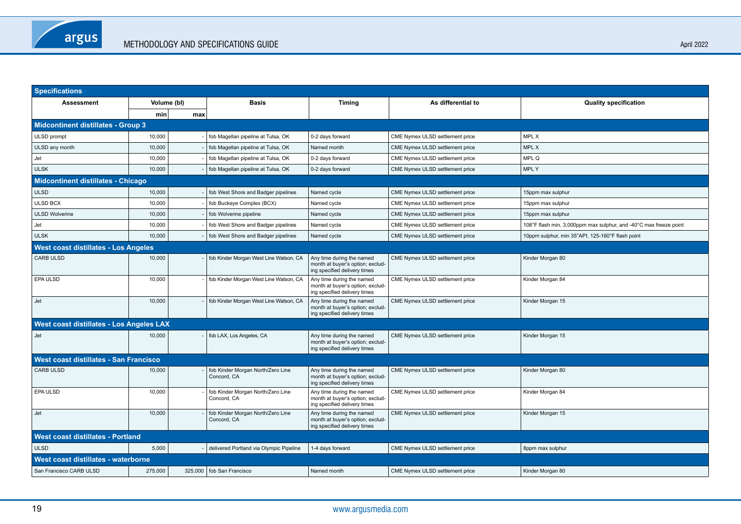| <b>Specifications</b>                       |             |     |                                                  |                                                                                               |                                 |                                                                   |  |  |
|---------------------------------------------|-------------|-----|--------------------------------------------------|-----------------------------------------------------------------------------------------------|---------------------------------|-------------------------------------------------------------------|--|--|
| <b>Assessment</b>                           | Volume (bl) |     | <b>Basis</b>                                     | <b>Timing</b>                                                                                 | As differential to              | <b>Quality specification</b>                                      |  |  |
|                                             | min         | max |                                                  |                                                                                               |                                 |                                                                   |  |  |
| <b>Midcontinent distillates - Group 3</b>   |             |     |                                                  |                                                                                               |                                 |                                                                   |  |  |
| ULSD prompt                                 | 10,000      |     | fob Magellan pipeline at Tulsa, OK               | 0-2 days forward                                                                              | CME Nymex ULSD settlement price | <b>MPL X</b>                                                      |  |  |
| ULSD any month                              | 10,000      |     | fob Magellan pipeline at Tulsa, OK               | Named month                                                                                   | CME Nymex ULSD settlement price | MPL X                                                             |  |  |
| Jet                                         | 10,000      |     | fob Magellan pipeline at Tulsa, OK               | 0-2 days forward                                                                              | CME Nymex ULSD settlement price | MPL Q                                                             |  |  |
| <b>ULSK</b>                                 | 10,000      |     | fob Magellan pipeline at Tulsa, OK               | 0-2 days forward                                                                              | CME Nymex ULSD settlement price | <b>MPLY</b>                                                       |  |  |
| <b>Midcontinent distillates - Chicago</b>   |             |     |                                                  |                                                                                               |                                 |                                                                   |  |  |
| <b>ULSD</b>                                 | 10,000      |     | fob West Shore and Badger pipelines              | Named cycle                                                                                   | CME Nymex ULSD settlement price | 15ppm max sulphur                                                 |  |  |
| <b>ULSD BCX</b>                             | 10,000      |     | fob Buckeye Complex (BCX)                        | Named cycle                                                                                   | CME Nymex ULSD settlement price | 15ppm max sulphur                                                 |  |  |
| <b>ULSD Wolverine</b>                       | 10,000      |     | fob Wolverine pipeline                           | Named cycle                                                                                   | CME Nymex ULSD settlement price | 15ppm max sulphur                                                 |  |  |
| Jet                                         | 10,000      |     | fob West Shore and Badger pipelines              | Named cycle                                                                                   | CME Nymex ULSD settlement price | 108°F flash min, 3,000ppm max sulphur, and -40°C max freeze point |  |  |
| <b>ULSK</b>                                 | 10,000      |     | fob West Shore and Badger pipelines              | Named cycle                                                                                   | CME Nymex ULSD settlement price | 10ppm sulphur, min 35°API, 125-160°F flash point                  |  |  |
| <b>West coast distillates - Los Angeles</b> |             |     |                                                  |                                                                                               |                                 |                                                                   |  |  |
| <b>CARB ULSD</b>                            | 10,000      |     | fob Kinder Morgan West Line Watson, CA           | Any time during the named<br>month at buyer's option; exclud-<br>ing specified delivery times | CME Nymex ULSD settlement price | Kinder Morgan 80                                                  |  |  |
| <b>EPA ULSD</b>                             | 10,000      |     | fob Kinder Morgan West Line Watson, CA           | Any time during the named<br>month at buyer's option; exclud-<br>ing specified delivery times | CME Nymex ULSD settlement price | Kinder Morgan 84                                                  |  |  |
| Jet                                         | 10.000      |     | fob Kinder Morgan West Line Watson, CA           | Any time during the named<br>month at buyer's option; exclud-<br>ing specified delivery times | CME Nymex ULSD settlement price | Kinder Morgan 15                                                  |  |  |
| West coast distillates - Los Angeles LAX    |             |     |                                                  |                                                                                               |                                 |                                                                   |  |  |
| Jet                                         | 10,000      |     | fob LAX, Los Angeles, CA                         | Any time during the named<br>month at buyer's option; exclud-<br>ing specified delivery times | CME Nymex ULSD settlement price | Kinder Morgan 15                                                  |  |  |
| West coast distillates - San Francisco      |             |     |                                                  |                                                                                               |                                 |                                                                   |  |  |
| <b>CARB ULSD</b>                            | 10,000      |     | fob Kinder Morgan North/Zero Line<br>Concord, CA | Any time during the named<br>month at buyer's option; exclud-<br>ing specified delivery times | CME Nymex ULSD settlement price | Kinder Morgan 80                                                  |  |  |
| <b>EPA ULSD</b>                             | 10,000      |     | fob Kinder Morgan North/Zero Line<br>Concord, CA | Any time during the named<br>month at buyer's option; exclud-<br>ing specified delivery times | CME Nymex ULSD settlement price | Kinder Morgan 84                                                  |  |  |
| Jet                                         | 10.000      |     | fob Kinder Morgan North/Zero Line<br>Concord, CA | Any time during the named<br>month at buyer's option; exclud-<br>ing specified delivery times | CME Nymex ULSD settlement price | Kinder Morgan 15                                                  |  |  |
| <b>West coast distillates - Portland</b>    |             |     |                                                  |                                                                                               |                                 |                                                                   |  |  |
| <b>ULSD</b>                                 | 5,000       |     | delivered Portland via Olympic Pipeline          | 1-4 days forward                                                                              | CME Nymex ULSD settlement price | 8ppm max sulphur                                                  |  |  |
| West coast distillates - waterborne         |             |     |                                                  |                                                                                               |                                 |                                                                   |  |  |
| San Francisco CARB ULSD                     | 275,000     |     | 325,000   fob San Francisco                      | Named month                                                                                   | CME Nymex ULSD settlement price | Kinder Morgan 80                                                  |  |  |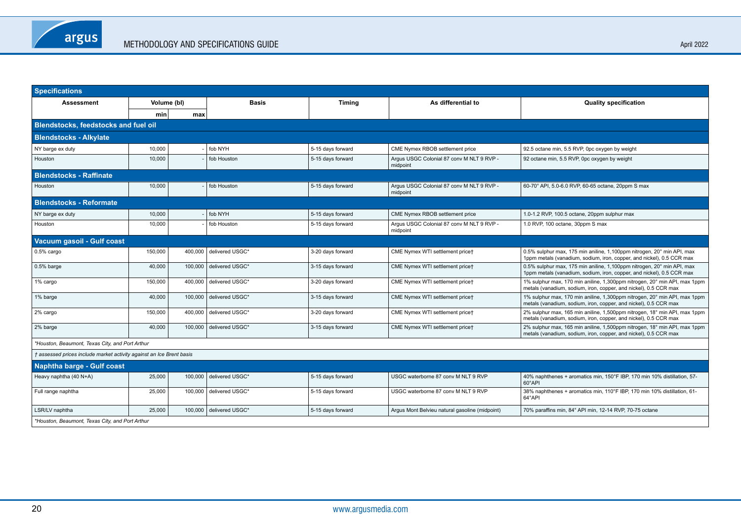| <b>Specifications</b>                                                |             |         |                         |                   |                                                       |                                                                                                                                                 |  |
|----------------------------------------------------------------------|-------------|---------|-------------------------|-------------------|-------------------------------------------------------|-------------------------------------------------------------------------------------------------------------------------------------------------|--|
| Assessment                                                           | Volume (bl) |         | <b>Basis</b>            | <b>Timing</b>     | As differential to                                    | <b>Quality specification</b>                                                                                                                    |  |
|                                                                      | min         | max     |                         |                   |                                                       |                                                                                                                                                 |  |
| <b>Blendstocks, feedstocks and fuel oil</b>                          |             |         |                         |                   |                                                       |                                                                                                                                                 |  |
| <b>Blendstocks - Alkylate</b>                                        |             |         |                         |                   |                                                       |                                                                                                                                                 |  |
| NY barge ex duty                                                     | 10,000      |         | fob NYH                 | 5-15 days forward | CME Nymex RBOB settlement price                       | 92.5 octane min, 5.5 RVP, 0pc oxygen by weight                                                                                                  |  |
| Houston                                                              | 10,000      |         | fob Houston             | 5-15 days forward | Argus USGC Colonial 87 conv M NLT 9 RVP -<br>midpoint | 92 octane min, 5.5 RVP, 0pc oxygen by weight                                                                                                    |  |
| <b>Blendstocks - Raffinate</b>                                       |             |         |                         |                   |                                                       |                                                                                                                                                 |  |
| Houston                                                              | 10,000      |         | fob Houston             | 5-15 days forward | Argus USGC Colonial 87 conv M NLT 9 RVP -<br>midpoint | 60-70° API, 5.0-6.0 RVP, 60-65 octane, 20ppm S max                                                                                              |  |
| <b>Blendstocks - Reformate</b>                                       |             |         |                         |                   |                                                       |                                                                                                                                                 |  |
| NY barge ex duty                                                     | 10,000      |         | fob NYH                 | 5-15 days forward | CME Nymex RBOB settlement price                       | 1.0-1.2 RVP, 100.5 octane, 20ppm sulphur max                                                                                                    |  |
| Houston                                                              | 10,000      |         | fob Houston             | 5-15 days forward | Argus USGC Colonial 87 conv M NLT 9 RVP -<br>midpoint | 1.0 RVP, 100 octane, 30ppm S max                                                                                                                |  |
| Vacuum gasoil - Gulf coast                                           |             |         |                         |                   |                                                       |                                                                                                                                                 |  |
| $0.5%$ cargo                                                         | 150,000     | 400,000 | delivered USGC*         | 3-20 days forward | CME Nymex WTI settlement pricet                       | 0.5% sulphur max, 175 min aniline, 1,100ppm nitrogen, 20° min API, max<br>1ppm metals (vanadium, sodium, iron, copper, and nickel), 0.5 CCR max |  |
| 0.5% barge                                                           | 40,000      | 100,000 | delivered USGC*         | 3-15 days forward | CME Nymex WTI settlement price†                       | 0.5% sulphur max, 175 min aniline, 1,100ppm nitrogen, 20° min API, max<br>1ppm metals (vanadium, sodium, iron, copper, and nickel), 0.5 CCR max |  |
| 1% cargo                                                             | 150,000     | 400,000 | delivered USGC*         | 3-20 days forward | CME Nymex WTI settlement price†                       | 1% sulphur max, 170 min aniline, 1,300ppm nitrogen, 20° min API, max 1ppm<br>metals (vanadium, sodium, iron, copper, and nickel), 0.5 CCR max   |  |
| 1% barge                                                             | 40,000      | 100,000 | delivered USGC*         | 3-15 days forward | CME Nymex WTI settlement pricet                       | 1% sulphur max, 170 min aniline, 1,300ppm nitrogen, 20° min API, max 1ppm<br>metals (vanadium, sodium, iron, copper, and nickel), 0.5 CCR max   |  |
| 2% cargo                                                             | 150,000     | 400,000 | delivered USGC*         | 3-20 days forward | CME Nymex WTI settlement price†                       | 2% sulphur max, 165 min aniline, 1,500ppm nitrogen, 18° min API, max 1ppm<br>metals (vanadium, sodium, iron, copper, and nickel), 0.5 CCR max   |  |
| 2% barge                                                             | 40.000      | 100,000 | delivered USGC*         | 3-15 days forward | CME Nymex WTI settlement pricet                       | 2% sulphur max, 165 min aniline, 1,500ppm nitrogen, 18° min API, max 1ppm<br>metals (vanadium, sodium, iron, copper, and nickel), 0.5 CCR max   |  |
| *Houston, Beaumont, Texas City, and Port Arthur                      |             |         |                         |                   |                                                       |                                                                                                                                                 |  |
| † assessed prices include market activity against an Ice Brent basis |             |         |                         |                   |                                                       |                                                                                                                                                 |  |
| <b>Naphtha barge - Gulf coast</b>                                    |             |         |                         |                   |                                                       |                                                                                                                                                 |  |
| Heavy naphtha (40 N+A)                                               | 25,000      | 100,000 | delivered USGC*         | 5-15 days forward | USGC waterborne 87 conv M NLT 9 RVP                   | 40% naphthenes + aromatics min, 150°F IBP, 170 min 10% distillation, 57-<br>60°API                                                              |  |
| Full range naphtha                                                   | 25,000      | 100,000 | delivered USGC*         | 5-15 days forward | USGC waterborne 87 conv M NLT 9 RVP                   | 38% naphthenes + aromatics min, 110°F IBP, 170 min 10% distillation, 61-<br>64°API                                                              |  |
| LSR/LV naphtha                                                       | 25.000      |         | 100,000 delivered USGC* | 5-15 days forward | Argus Mont Belvieu natural gasoline (midpoint)        | 70% paraffins min, 84° API min, 12-14 RVP, 70-75 octane                                                                                         |  |
| *Houston, Beaumont, Texas City, and Port Arthur                      |             |         |                         |                   |                                                       |                                                                                                                                                 |  |